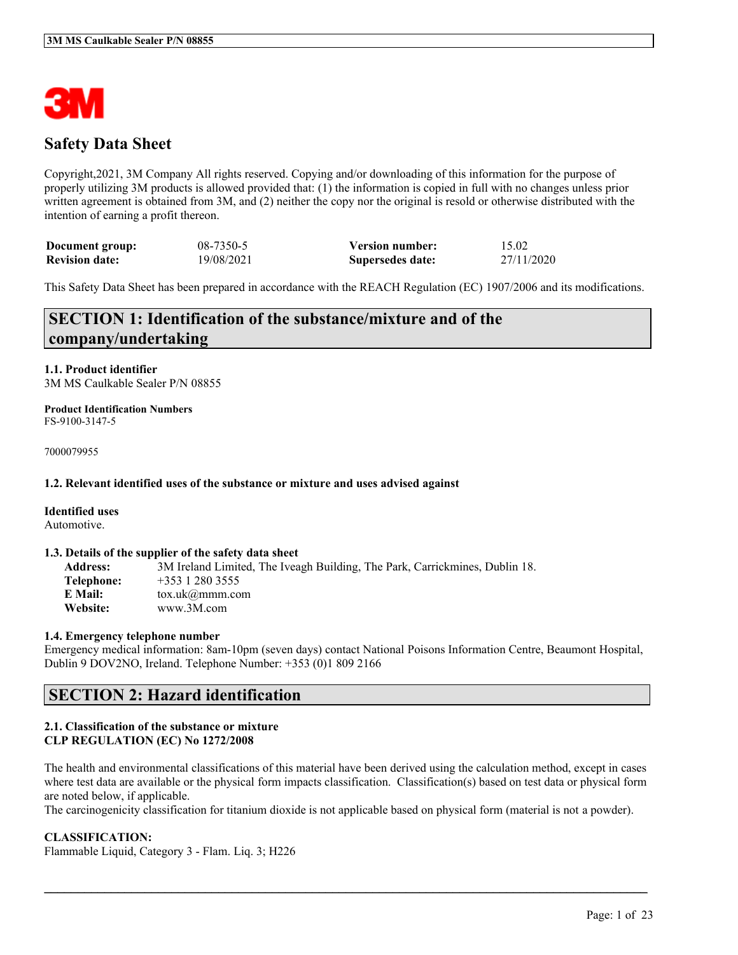

## **Safety Data Sheet**

Copyright,2021, 3M Company All rights reserved. Copying and/or downloading of this information for the purpose of properly utilizing 3M products is allowed provided that: (1) the information is copied in full with no changes unless prior written agreement is obtained from 3M, and (2) neither the copy nor the original is resold or otherwise distributed with the intention of earning a profit thereon.

| Document group:       | 08-7350-5  | <b>Version number:</b> | 15.02      |
|-----------------------|------------|------------------------|------------|
| <b>Revision date:</b> | 19/08/2021 | Supersedes date:       | 27/11/2020 |

This Safety Data Sheet has been prepared in accordance with the REACH Regulation (EC) 1907/2006 and its modifications.

## **SECTION 1: Identification of the substance/mixture and of the company/undertaking**

**1.1. Product identifier** 3M MS Caulkable Sealer P/N 08855

#### **Product Identification Numbers** FS-9100-3147-5

7000079955

### **1.2. Relevant identified uses of the substance or mixture and uses advised against**

#### **Identified uses**

Automotive.

#### **1.3. Details of the supplier of the safety data sheet**

**Address:** 3M Ireland Limited, The Iveagh Building, The Park, Carrickmines, Dublin 18. **Telephone:** +353 1 280 3555 **E Mail:** tox.uk@mmm.com **Website:** www.3M.com

#### **1.4. Emergency telephone number**

Emergency medical information: 8am-10pm (seven days) contact National Poisons Information Centre, Beaumont Hospital, Dublin 9 DOV2NO, Ireland. Telephone Number: +353 (0)1 809 2166

### **SECTION 2: Hazard identification**

### **2.1. Classification of the substance or mixture CLP REGULATION (EC) No 1272/2008**

The health and environmental classifications of this material have been derived using the calculation method, except in cases where test data are available or the physical form impacts classification. Classification(s) based on test data or physical form are noted below, if applicable.

The carcinogenicity classification for titanium dioxide is not applicable based on physical form (material is not a powder).

 $\mathcal{L}_\mathcal{L} = \mathcal{L}_\mathcal{L} = \mathcal{L}_\mathcal{L} = \mathcal{L}_\mathcal{L} = \mathcal{L}_\mathcal{L} = \mathcal{L}_\mathcal{L} = \mathcal{L}_\mathcal{L} = \mathcal{L}_\mathcal{L} = \mathcal{L}_\mathcal{L} = \mathcal{L}_\mathcal{L} = \mathcal{L}_\mathcal{L} = \mathcal{L}_\mathcal{L} = \mathcal{L}_\mathcal{L} = \mathcal{L}_\mathcal{L} = \mathcal{L}_\mathcal{L} = \mathcal{L}_\mathcal{L} = \mathcal{L}_\mathcal{L}$ 

### **CLASSIFICATION:**

Flammable Liquid, Category 3 - Flam. Liq. 3; H226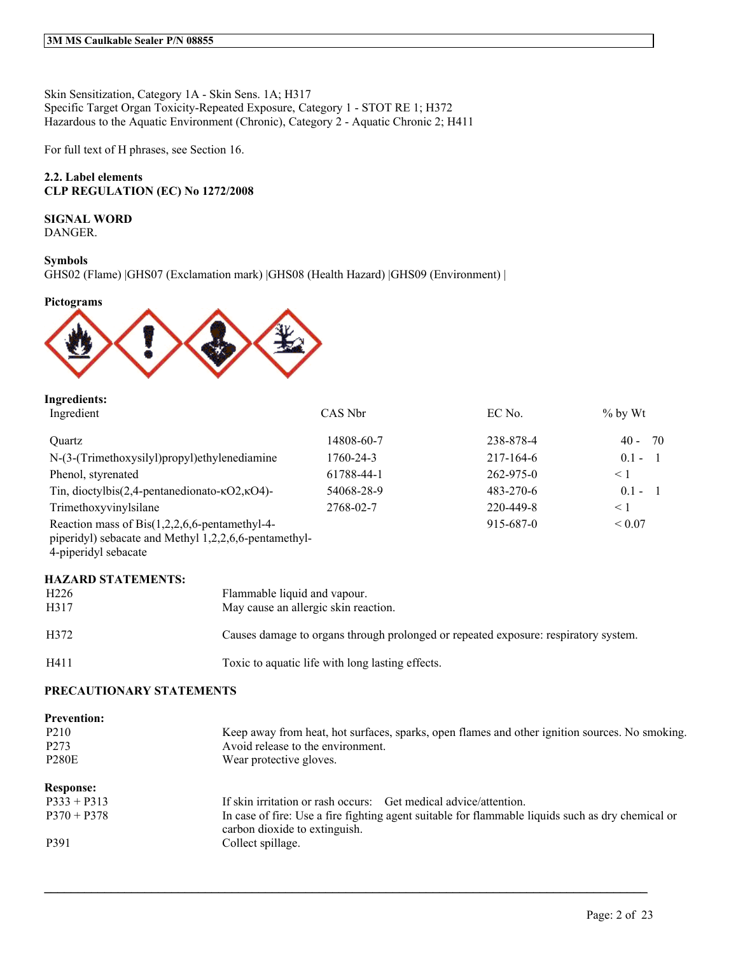Skin Sensitization, Category 1A - Skin Sens. 1A; H317 Specific Target Organ Toxicity-Repeated Exposure, Category 1 - STOT RE 1; H372 Hazardous to the Aquatic Environment (Chronic), Category 2 - Aquatic Chronic 2; H411

For full text of H phrases, see Section 16.

### **2.2. Label elements CLP REGULATION (EC) No 1272/2008**

### **SIGNAL WORD**

DANGER.

### **Symbols**

GHS02 (Flame) |GHS07 (Exclamation mark) |GHS08 (Health Hazard) |GHS09 (Environment) |

**Pictograms**



| <b>Ingredients:</b>                                                       |                                                       |                                                                                     |           |                           |
|---------------------------------------------------------------------------|-------------------------------------------------------|-------------------------------------------------------------------------------------|-----------|---------------------------|
| Ingredient                                                                |                                                       | CAS Nbr                                                                             | EC No.    | $%$ by Wt                 |
| Quartz                                                                    |                                                       | 14808-60-7                                                                          | 238-878-4 | $40 - 70$                 |
| N-(3-(Trimethoxysilyl)propyl)ethylenediamine                              |                                                       | 1760-24-3                                                                           | 217-164-6 | $0.1 -$<br>$\blacksquare$ |
| Phenol, styrenated                                                        |                                                       | 61788-44-1                                                                          | 262-975-0 | $\leq 1$                  |
| Tin, dioctylbis(2,4-pentanedionato- $\kappa$ O2, $\kappa$ O4)-            |                                                       | 54068-28-9                                                                          | 483-270-6 | $0.1 - 1$                 |
| Trimethoxyvinylsilane                                                     |                                                       | 2768-02-7                                                                           | 220-449-8 | $\leq 1$                  |
| Reaction mass of Bis $(1,2,2,6,6$ -pentamethyl-4-<br>4-piperidyl sebacate | piperidyl) sebacate and Methyl 1,2,2,6,6-pentamethyl- |                                                                                     | 915-687-0 | ${}< 0.07$                |
| <b>HAZARD STATEMENTS:</b>                                                 |                                                       |                                                                                     |           |                           |
| H <sub>226</sub>                                                          |                                                       | Flammable liquid and vapour.                                                        |           |                           |
| H317                                                                      |                                                       | May cause an allergic skin reaction.                                                |           |                           |
| H372                                                                      |                                                       | Causes damage to organs through prolonged or repeated exposure: respiratory system. |           |                           |

H411 Toxic to aquatic life with long lasting effects.

### **PRECAUTIONARY STATEMENTS**

| <b>Prevention:</b><br>P <sub>2</sub> 10<br>P <sub>273</sub><br><b>P280E</b> | Keep away from heat, hot surfaces, sparks, open flames and other ignition sources. No smoking.<br>Avoid release to the environment.<br>Wear protective gloves. |
|-----------------------------------------------------------------------------|----------------------------------------------------------------------------------------------------------------------------------------------------------------|
| <b>Response:</b>                                                            |                                                                                                                                                                |
| $P333 + P313$                                                               | If skin irritation or rash occurs: Get medical advice/attention.                                                                                               |
| $P370 + P378$                                                               | In case of fire: Use a fire fighting agent suitable for flammable liquids such as dry chemical or<br>carbon dioxide to extinguish.                             |
| P391                                                                        | Collect spillage.                                                                                                                                              |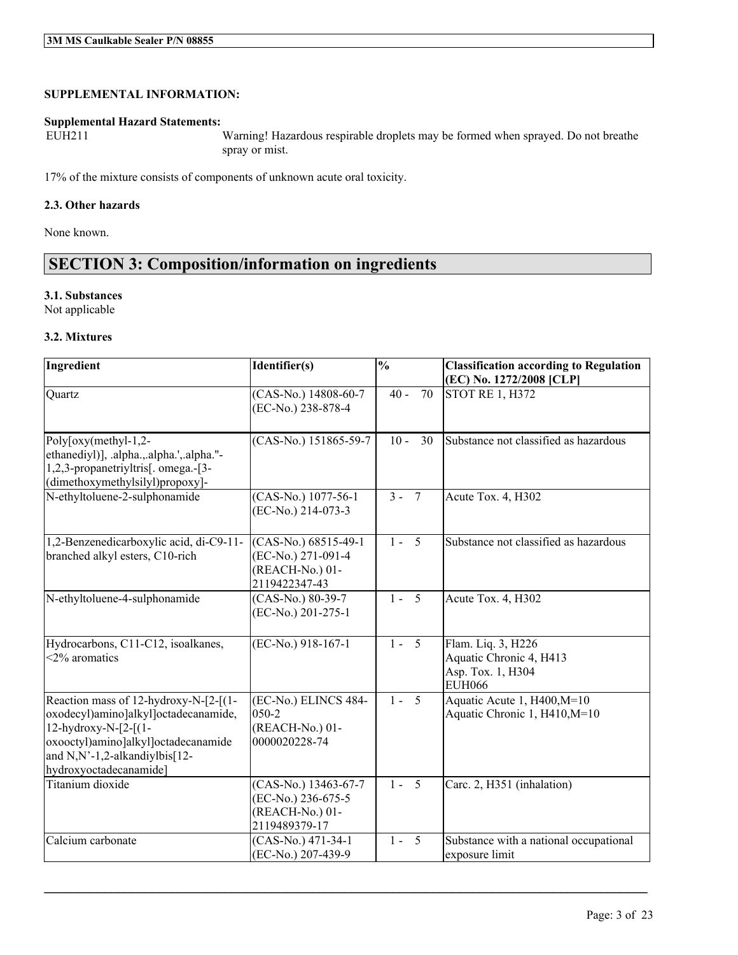### **SUPPLEMENTAL INFORMATION:**

# **Supplemental Hazard Statements:**

Warning! Hazardous respirable droplets may be formed when sprayed. Do not breathe spray or mist.

17% of the mixture consists of components of unknown acute oral toxicity.

### **2.3. Other hazards**

None known.

## **SECTION 3: Composition/information on ingredients**

### **3.1. Substances**

Not applicable

### **3.2. Mixtures**

| Ingredient                                                                                                                                                                                              | Identifier(s)                                                                    | $\frac{0}{0}$      | <b>Classification according to Regulation</b><br>(EC) No. 1272/2008 [CLP]           |
|---------------------------------------------------------------------------------------------------------------------------------------------------------------------------------------------------------|----------------------------------------------------------------------------------|--------------------|-------------------------------------------------------------------------------------|
| Quartz                                                                                                                                                                                                  | (CAS-No.) 14808-60-7<br>(EC-No.) 238-878-4                                       | 70<br>$40 -$       | <b>STOT RE 1, H372</b>                                                              |
| Poly $\lceil \text{oxy}(\text{methyl-1,2-}) \rceil$<br>ethanediyl)], .alpha., .alpha.', .alpha."-<br>1,2,3-propanetriyltris[. omega.-[3-<br>(dimethoxymethylsilyl)propoxy]-                             | $(CAS-No.)$ 151865-59-7                                                          | $10 -$<br>30       | Substance not classified as hazardous                                               |
| N-ethyltoluene-2-sulphonamide                                                                                                                                                                           | (CAS-No.) 1077-56-1<br>(EC-No.) 214-073-3                                        | $3 - 7$            | Acute Tox. 4, H302                                                                  |
| 1,2-Benzenedicarboxylic acid, di-C9-11-<br>branched alkyl esters, C10-rich                                                                                                                              | $(CAS-N0.) 68515-49-1$<br>(EC-No.) 271-091-4<br>(REACH-No.) 01-<br>2119422347-43 | $1 - 5$            | Substance not classified as hazardous                                               |
| N-ethyltoluene-4-sulphonamide                                                                                                                                                                           | (CAS-No.) 80-39-7<br>(EC-No.) 201-275-1                                          | $1 - 5$            | Acute Tox. 4, H302                                                                  |
| Hydrocarbons, C11-C12, isoalkanes,<br>$<$ 2% aromatics                                                                                                                                                  | (EC-No.) 918-167-1                                                               | $1 - \overline{5}$ | Flam. Liq. 3, H226<br>Aquatic Chronic 4, H413<br>Asp. Tox. 1, H304<br><b>EUH066</b> |
| Reaction mass of 12-hydroxy-N-[2-[(1-<br>oxodecyl)amino]alkyl]octadecanamide,<br>12-hydroxy-N-[2-[(1-<br>oxooctyl)amino]alkyl]octadecanamide<br>and N,N'-1,2-alkandiylbis[12-<br>hydroxyoctadecanamide] | (EC-No.) ELINCS 484-<br>050-2<br>(REACH-No.) 01-<br>0000020228-74                | $1 - 5$            | Aquatic Acute 1, H400, M=10<br>Aquatic Chronic 1, H410, M=10                        |
| Titanium dioxide                                                                                                                                                                                        | (CAS-No.) 13463-67-7<br>(EC-No.) 236-675-5<br>(REACH-No.) 01-<br>2119489379-17   | $1 - 5$            | Carc. 2, H351 (inhalation)                                                          |
| Calcium carbonate                                                                                                                                                                                       | (CAS-No.) 471-34-1<br>(EC-No.) 207-439-9                                         | $1 - 5$            | Substance with a national occupational<br>exposure limit                            |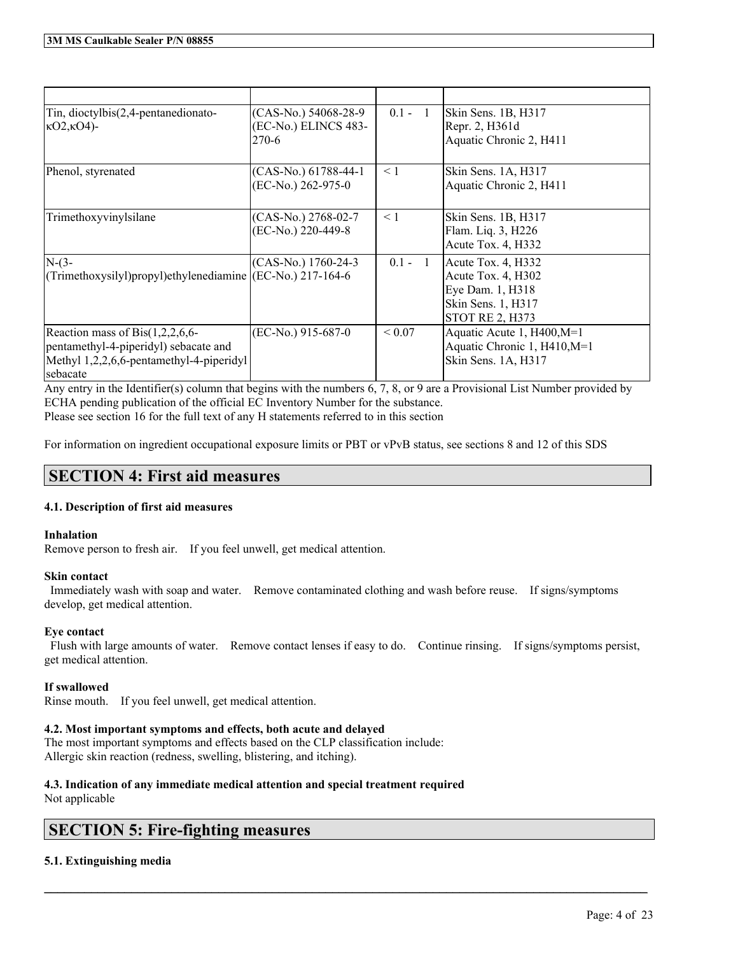| Tin, dioctylbis(2,4-pentanedionato-<br>$kO2kO4$ -                                                                                 | (CAS-No.) 54068-28-9<br>(EC-No.) ELINCS 483-<br>270-6 | $0.1 - 1$  | Skin Sens. 1B, H317<br>Repr. 2, H361d<br>Aquatic Chronic 2, H411                                             |
|-----------------------------------------------------------------------------------------------------------------------------------|-------------------------------------------------------|------------|--------------------------------------------------------------------------------------------------------------|
| Phenol, styrenated                                                                                                                | (CAS-No.) 61788-44-1<br>(EC-No.) 262-975-0            | $\leq 1$   | Skin Sens. 1A, H317<br>Aquatic Chronic 2, H411                                                               |
| Trimethoxyvinylsilane                                                                                                             | (CAS-No.) 2768-02-7<br>(EC-No.) 220-449-8             | $\leq 1$   | Skin Sens. 1B, H317<br>Flam. Liq. 3, H226<br>Acute Tox. 4, H332                                              |
| $N-(3-$<br>(Trimethoxysilyl)propyl)ethylenediamine ((EC-No.) 217-164-6                                                            | (CAS-No.) 1760-24-3                                   | $0.1 - 1$  | Acute Tox. 4, H332<br>Acute Tox. 4, H302<br>Eye Dam. 1, H318<br>Skin Sens. 1, H317<br><b>STOT RE 2, H373</b> |
| Reaction mass of $Bis(1,2,2,6,6$<br>pentamethyl-4-piperidyl) sebacate and<br>Methyl 1,2,2,6,6-pentamethyl-4-piperidyl<br>sebacate | (EC-No.) 915-687-0                                    | ${}< 0.07$ | Aquatic Acute 1, H400, M=1<br>Aquatic Chronic 1, H410, M=1<br>Skin Sens. 1A, H317                            |

Any entry in the Identifier(s) column that begins with the numbers 6, 7, 8, or 9 are a Provisional List Number provided by ECHA pending publication of the official EC Inventory Number for the substance. Please see section 16 for the full text of any H statements referred to in this section

For information on ingredient occupational exposure limits or PBT or vPvB status, see sections 8 and 12 of this SDS

## **SECTION 4: First aid measures**

### **4.1. Description of first aid measures**

### **Inhalation**

Remove person to fresh air. If you feel unwell, get medical attention.

### **Skin contact**

Immediately wash with soap and water. Remove contaminated clothing and wash before reuse. If signs/symptoms develop, get medical attention.

### **Eye contact**

Flush with large amounts of water. Remove contact lenses if easy to do. Continue rinsing. If signs/symptoms persist, get medical attention.

 $\mathcal{L}_\mathcal{L} = \mathcal{L}_\mathcal{L} = \mathcal{L}_\mathcal{L} = \mathcal{L}_\mathcal{L} = \mathcal{L}_\mathcal{L} = \mathcal{L}_\mathcal{L} = \mathcal{L}_\mathcal{L} = \mathcal{L}_\mathcal{L} = \mathcal{L}_\mathcal{L} = \mathcal{L}_\mathcal{L} = \mathcal{L}_\mathcal{L} = \mathcal{L}_\mathcal{L} = \mathcal{L}_\mathcal{L} = \mathcal{L}_\mathcal{L} = \mathcal{L}_\mathcal{L} = \mathcal{L}_\mathcal{L} = \mathcal{L}_\mathcal{L}$ 

### **If swallowed**

Rinse mouth. If you feel unwell, get medical attention.

### **4.2. Most important symptoms and effects, both acute and delayed**

The most important symptoms and effects based on the CLP classification include: Allergic skin reaction (redness, swelling, blistering, and itching).

### **4.3. Indication of any immediate medical attention and special treatment required** Not applicable

## **SECTION 5: Fire-fighting measures**

### **5.1. Extinguishing media**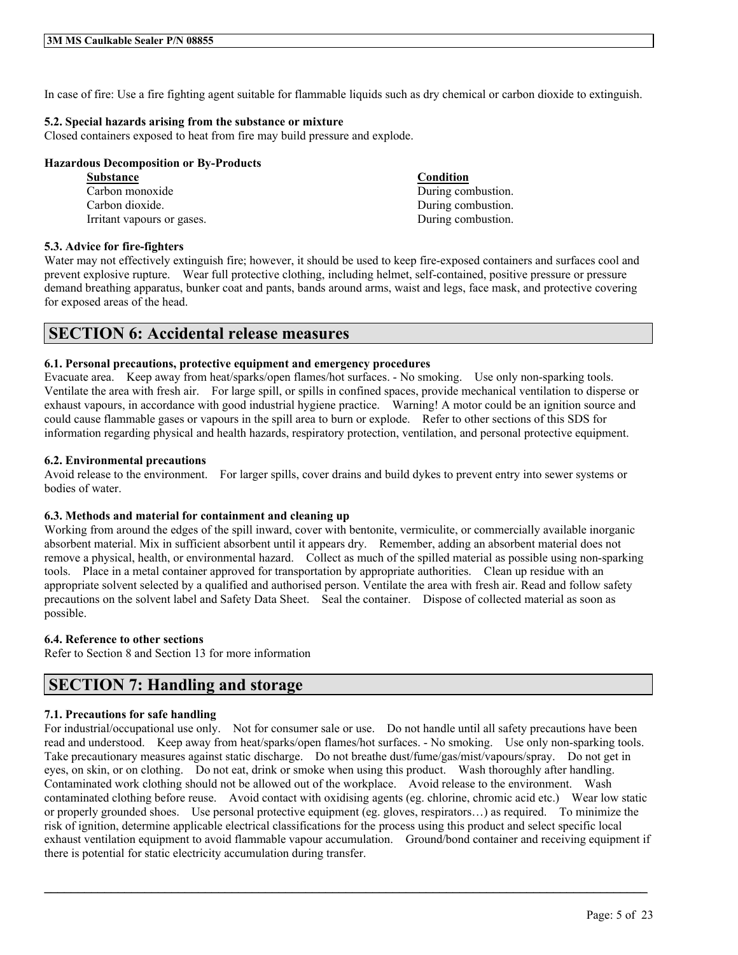In case of fire: Use a fire fighting agent suitable for flammable liquids such as dry chemical or carbon dioxide to extinguish.

### **5.2. Special hazards arising from the substance or mixture**

Closed containers exposed to heat from fire may build pressure and explode.

### **Hazardous Decomposition or By-Products**

| <b>Substance</b>           | Condition          |
|----------------------------|--------------------|
| Carbon monoxide            | During combustion. |
| Carbon dioxide.            | During combustion. |
| Irritant vapours or gases. | During combustion. |

### **5.3. Advice for fire-fighters**

Water may not effectively extinguish fire; however, it should be used to keep fire-exposed containers and surfaces cool and prevent explosive rupture. Wear full protective clothing, including helmet, self-contained, positive pressure or pressure demand breathing apparatus, bunker coat and pants, bands around arms, waist and legs, face mask, and protective covering for exposed areas of the head.

### **SECTION 6: Accidental release measures**

### **6.1. Personal precautions, protective equipment and emergency procedures**

Evacuate area. Keep away from heat/sparks/open flames/hot surfaces. - No smoking. Use only non-sparking tools. Ventilate the area with fresh air. For large spill, or spills in confined spaces, provide mechanical ventilation to disperse or exhaust vapours, in accordance with good industrial hygiene practice. Warning! A motor could be an ignition source and could cause flammable gases or vapours in the spill area to burn or explode. Refer to other sections of this SDS for information regarding physical and health hazards, respiratory protection, ventilation, and personal protective equipment.

### **6.2. Environmental precautions**

Avoid release to the environment. For larger spills, cover drains and build dykes to prevent entry into sewer systems or bodies of water.

### **6.3. Methods and material for containment and cleaning up**

Working from around the edges of the spill inward, cover with bentonite, vermiculite, or commercially available inorganic absorbent material. Mix in sufficient absorbent until it appears dry. Remember, adding an absorbent material does not remove a physical, health, or environmental hazard. Collect as much of the spilled material as possible using non-sparking tools. Place in a metal container approved for transportation by appropriate authorities. Clean up residue with an appropriate solvent selected by a qualified and authorised person. Ventilate the area with fresh air. Read and follow safety precautions on the solvent label and Safety Data Sheet. Seal the container. Dispose of collected material as soon as possible.

### **6.4. Reference to other sections**

Refer to Section 8 and Section 13 for more information

## **SECTION 7: Handling and storage**

### **7.1. Precautions for safe handling**

For industrial/occupational use only. Not for consumer sale or use. Do not handle until all safety precautions have been read and understood. Keep away from heat/sparks/open flames/hot surfaces. - No smoking. Use only non-sparking tools. Take precautionary measures against static discharge. Do not breathe dust/fume/gas/mist/vapours/spray. Do not get in eyes, on skin, or on clothing. Do not eat, drink or smoke when using this product. Wash thoroughly after handling. Contaminated work clothing should not be allowed out of the workplace. Avoid release to the environment. Wash contaminated clothing before reuse. Avoid contact with oxidising agents (eg. chlorine, chromic acid etc.) Wear low static or properly grounded shoes. Use personal protective equipment (eg. gloves, respirators…) as required. To minimize the risk of ignition, determine applicable electrical classifications for the process using this product and select specific local exhaust ventilation equipment to avoid flammable vapour accumulation. Ground/bond container and receiving equipment if there is potential for static electricity accumulation during transfer.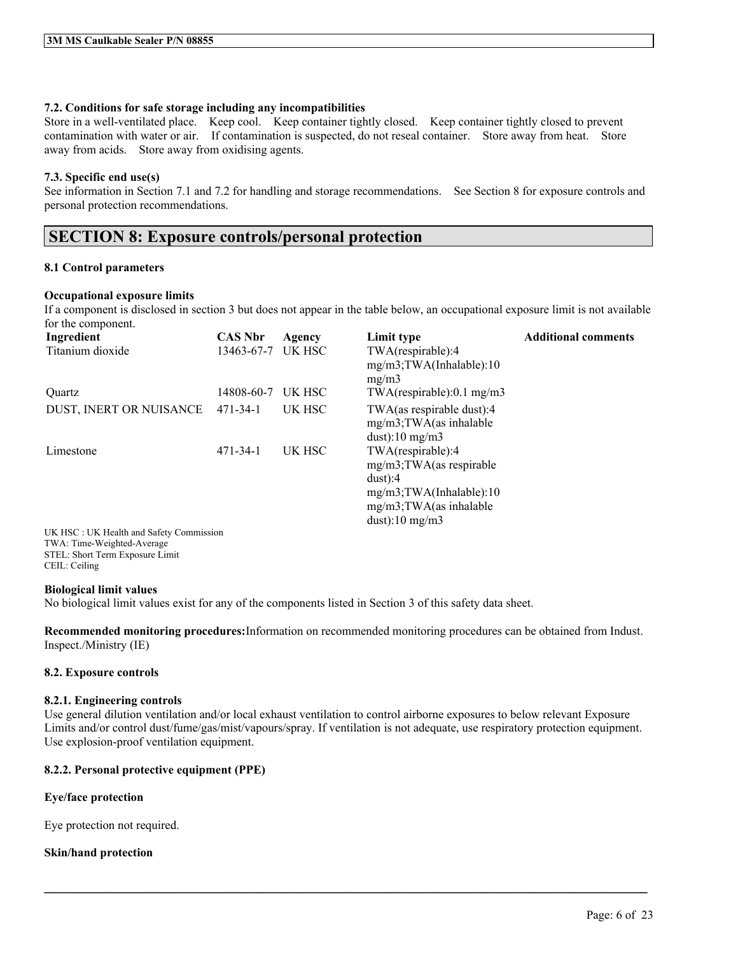### **7.2. Conditions for safe storage including any incompatibilities**

Store in a well-ventilated place. Keep cool. Keep container tightly closed. Keep container tightly closed to prevent contamination with water or air. If contamination is suspected, do not reseal container. Store away from heat. Store away from acids. Store away from oxidising agents.

### **7.3. Specific end use(s)**

See information in Section 7.1 and 7.2 for handling and storage recommendations. See Section 8 for exposure controls and personal protection recommendations.

## **SECTION 8: Exposure controls/personal protection**

### **8.1 Control parameters**

### **Occupational exposure limits**

If a component is disclosed in section 3 but does not appear in the table below, an occupational exposure limit is not available for the component.

| Ingredient                              | <b>CAS Nbr</b> | Agency | Limit type                     | <b>Additional comments</b> |
|-----------------------------------------|----------------|--------|--------------------------------|----------------------------|
| Titanium dioxide                        | 13463-67-7     | UK HSC | TWA(respirable):4              |                            |
|                                         |                |        | $mg/m3$ ; TWA(Inhalable): 10   |                            |
|                                         |                |        | mg/m3                          |                            |
| Ouartz                                  | 14808-60-7     | UK HSC | $TWA$ (respirable):0.1 mg/m3   |                            |
| DUST, INERT OR NUISANCE                 | 471-34-1       | UK HSC | TWA(as respirable dust):4      |                            |
|                                         |                |        | $mg/m3$ ; TWA $(as)$ inhalable |                            |
|                                         |                |        | $dust$ :10 mg/m3               |                            |
| Limestone                               | $471 - 34 - 1$ | UK HSC | TWA(respirable):4              |                            |
|                                         |                |        | $mg/m3$ ; TWA(as respirable    |                            |
|                                         |                |        | $dust$ :4                      |                            |
|                                         |                |        | $mg/m3$ ; TWA(Inhalable): 10   |                            |
|                                         |                |        | $mg/m3$ ; TWA $(as)$ inhalable |                            |
|                                         |                |        | $dust$ :10 mg/m3               |                            |
| UK HSC: UK Health and Safety Commission |                |        |                                |                            |

TWA: Time-Weighted-Average STEL: Short Term Exposure Limit CEIL: Ceiling

### **Biological limit values**

No biological limit values exist for any of the components listed in Section 3 of this safety data sheet.

**Recommended monitoring procedures:**Information on recommended monitoring procedures can be obtained from Indust. Inspect./Ministry (IE)

### **8.2. Exposure controls**

### **8.2.1. Engineering controls**

Use general dilution ventilation and/or local exhaust ventilation to control airborne exposures to below relevant Exposure Limits and/or control dust/fume/gas/mist/vapours/spray. If ventilation is not adequate, use respiratory protection equipment. Use explosion-proof ventilation equipment.

 $\mathcal{L}_\mathcal{L} = \mathcal{L}_\mathcal{L} = \mathcal{L}_\mathcal{L} = \mathcal{L}_\mathcal{L} = \mathcal{L}_\mathcal{L} = \mathcal{L}_\mathcal{L} = \mathcal{L}_\mathcal{L} = \mathcal{L}_\mathcal{L} = \mathcal{L}_\mathcal{L} = \mathcal{L}_\mathcal{L} = \mathcal{L}_\mathcal{L} = \mathcal{L}_\mathcal{L} = \mathcal{L}_\mathcal{L} = \mathcal{L}_\mathcal{L} = \mathcal{L}_\mathcal{L} = \mathcal{L}_\mathcal{L} = \mathcal{L}_\mathcal{L}$ 

### **8.2.2. Personal protective equipment (PPE)**

### **Eye/face protection**

Eye protection not required.

### **Skin/hand protection**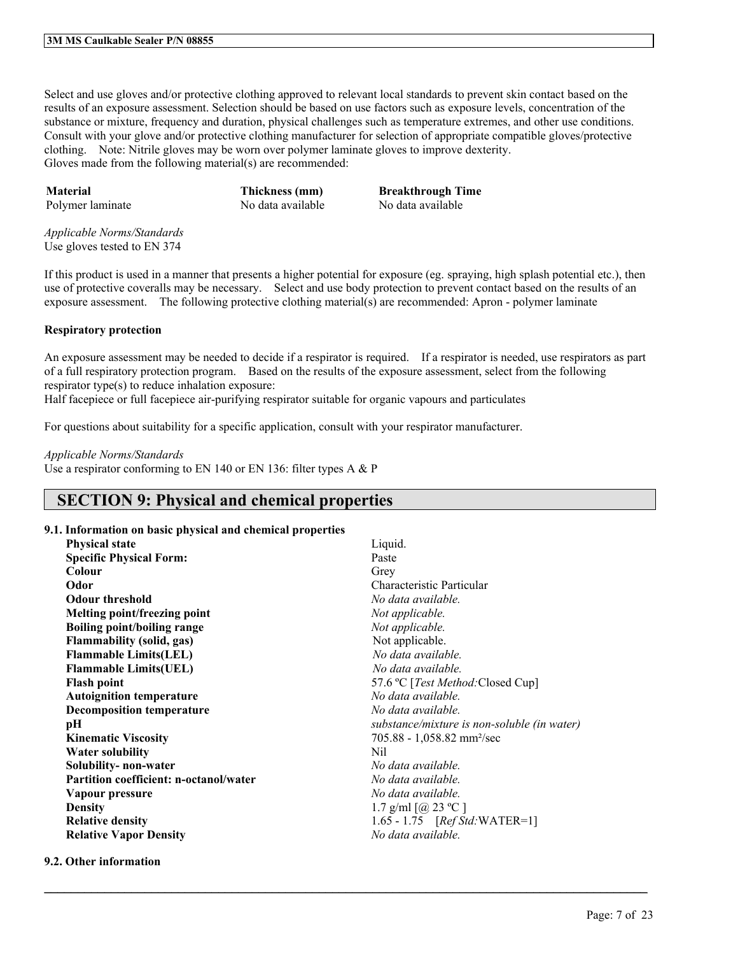Select and use gloves and/or protective clothing approved to relevant local standards to prevent skin contact based on the results of an exposure assessment. Selection should be based on use factors such as exposure levels, concentration of the substance or mixture, frequency and duration, physical challenges such as temperature extremes, and other use conditions. Consult with your glove and/or protective clothing manufacturer for selection of appropriate compatible gloves/protective clothing. Note: Nitrile gloves may be worn over polymer laminate gloves to improve dexterity. Gloves made from the following material(s) are recommended:

**Material Thickness (mm) Breakthrough Time** Polymer laminate No data available No data available

*Applicable Norms/Standards* Use gloves tested to EN 374

If this product is used in a manner that presents a higher potential for exposure (eg. spraying, high splash potential etc.), then use of protective coveralls may be necessary. Select and use body protection to prevent contact based on the results of an exposure assessment. The following protective clothing material(s) are recommended: Apron - polymer laminate

### **Respiratory protection**

An exposure assessment may be needed to decide if a respirator is required. If a respirator is needed, use respirators as part of a full respiratory protection program. Based on the results of the exposure assessment, select from the following respirator type(s) to reduce inhalation exposure:

Half facepiece or full facepiece air-purifying respirator suitable for organic vapours and particulates

For questions about suitability for a specific application, consult with your respirator manufacturer.

*Applicable Norms/Standards*

Use a respirator conforming to EN 140 or EN 136: filter types A & P

## **SECTION 9: Physical and chemical properties**

### **9.1. Information on basic physical and chemical properties**

| <b>Physical state</b>                         | Liquid.                                     |
|-----------------------------------------------|---------------------------------------------|
| <b>Specific Physical Form:</b>                | Paste                                       |
| <b>Colour</b>                                 | Grey                                        |
| Odor                                          | Characteristic Particular                   |
| <b>Odour threshold</b>                        | No data available.                          |
| Melting point/freezing point                  | Not applicable.                             |
| <b>Boiling point/boiling range</b>            | Not applicable.                             |
| <b>Flammability (solid, gas)</b>              | Not applicable.                             |
| <b>Flammable Limits(LEL)</b>                  | No data available.                          |
| <b>Flammable Limits(UEL)</b>                  | No data available.                          |
| <b>Flash point</b>                            | 57.6 °C [ <i>Test Method</i> :Closed Cup]   |
| <b>Autoignition temperature</b>               | No data available.                          |
| <b>Decomposition temperature</b>              | No data available.                          |
| pН                                            | substance/mixture is non-soluble (in water) |
| <b>Kinematic Viscosity</b>                    | 705.88 - 1,058.82 mm <sup>2</sup> /sec      |
| <b>Water solubility</b>                       | Nil                                         |
| Solubility- non-water                         | No data available.                          |
| <b>Partition coefficient: n-octanol/water</b> | No data available.                          |
| Vapour pressure                               | No data available.                          |
| <b>Density</b>                                | 1.7 g/ml $[@ 23 °C]$                        |
| <b>Relative density</b>                       | 1.65 - 1.75 $[RefStd:WATER=1]$              |
| <b>Relative Vapor Density</b>                 | No data available.                          |
|                                               |                                             |

 $\mathcal{L}_\mathcal{L} = \mathcal{L}_\mathcal{L} = \mathcal{L}_\mathcal{L} = \mathcal{L}_\mathcal{L} = \mathcal{L}_\mathcal{L} = \mathcal{L}_\mathcal{L} = \mathcal{L}_\mathcal{L} = \mathcal{L}_\mathcal{L} = \mathcal{L}_\mathcal{L} = \mathcal{L}_\mathcal{L} = \mathcal{L}_\mathcal{L} = \mathcal{L}_\mathcal{L} = \mathcal{L}_\mathcal{L} = \mathcal{L}_\mathcal{L} = \mathcal{L}_\mathcal{L} = \mathcal{L}_\mathcal{L} = \mathcal{L}_\mathcal{L}$ 

### **9.2. Other information**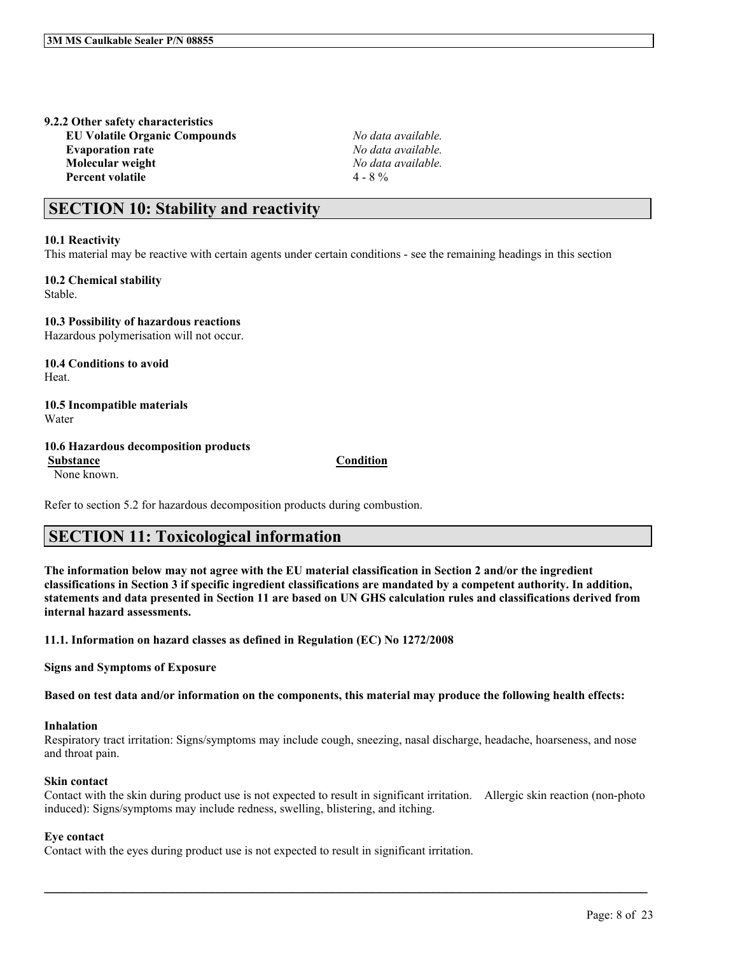## **9.2.2 Other safety characteristics**

**EU Volatile Organic Compounds** *No data available.* **Evaporation rate** *No data available.* **Molecular weight** *No data available.* **Percent volatile** 4 - 8 %

## **SECTION 10: Stability and reactivity**

### **10.1 Reactivity**

This material may be reactive with certain agents under certain conditions - see the remaining headings in this section

**10.2 Chemical stability** Stable.

**10.3 Possibility of hazardous reactions** Hazardous polymerisation will not occur.

**10.4 Conditions to avoid** Heat.

**10.5 Incompatible materials** Water

### **10.6 Hazardous decomposition products**

**Substance Condition** None known.

Refer to section 5.2 for hazardous decomposition products during combustion.

## **SECTION 11: Toxicological information**

The information below may not agree with the EU material classification in Section 2 and/or the ingredient classifications in Section 3 if specific ingredient classifications are mandated by a competent authority. In addition, statements and data presented in Section 11 are based on UN GHS calculation rules and classifications derived from **internal hazard assessments.**

**11.1. Information on hazard classes as defined in Regulation (EC) No 1272/2008**

**Signs and Symptoms of Exposure**

Based on test data and/or information on the components, this material may produce the following health effects:

### **Inhalation**

Respiratory tract irritation: Signs/symptoms may include cough, sneezing, nasal discharge, headache, hoarseness, and nose and throat pain.

### **Skin contact**

Contact with the skin during product use is not expected to result in significant irritation. Allergic skin reaction (non-photo induced): Signs/symptoms may include redness, swelling, blistering, and itching.

 $\mathcal{L}_\mathcal{L} = \mathcal{L}_\mathcal{L} = \mathcal{L}_\mathcal{L} = \mathcal{L}_\mathcal{L} = \mathcal{L}_\mathcal{L} = \mathcal{L}_\mathcal{L} = \mathcal{L}_\mathcal{L} = \mathcal{L}_\mathcal{L} = \mathcal{L}_\mathcal{L} = \mathcal{L}_\mathcal{L} = \mathcal{L}_\mathcal{L} = \mathcal{L}_\mathcal{L} = \mathcal{L}_\mathcal{L} = \mathcal{L}_\mathcal{L} = \mathcal{L}_\mathcal{L} = \mathcal{L}_\mathcal{L} = \mathcal{L}_\mathcal{L}$ 

### **Eye contact**

Contact with the eyes during product use is not expected to result in significant irritation.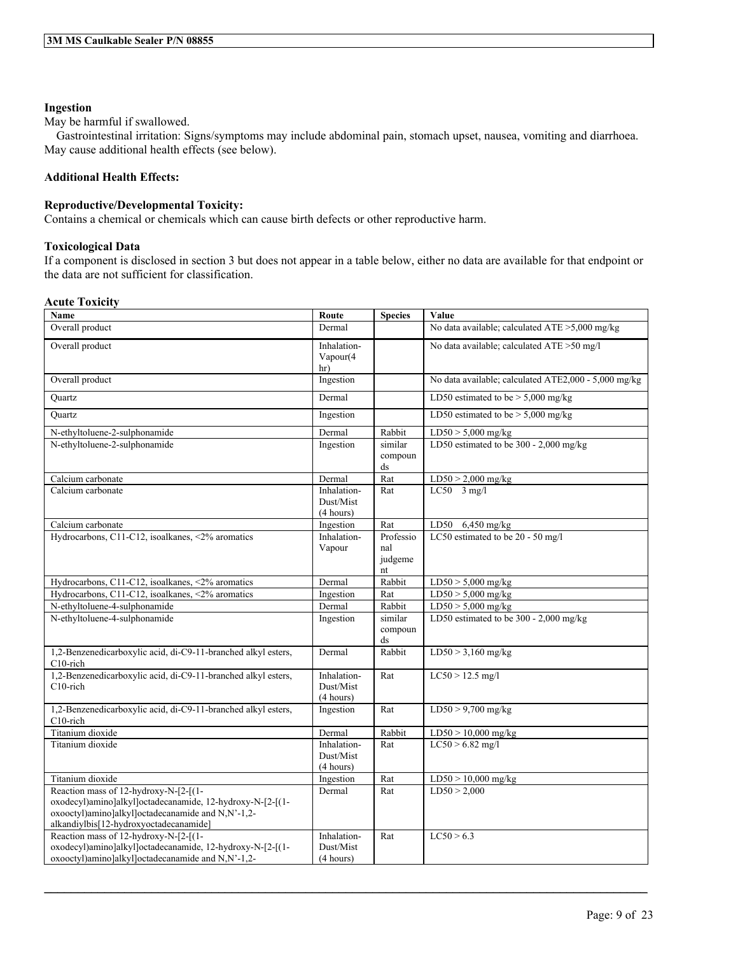### **Ingestion**

May be harmful if swallowed.

Gastrointestinal irritation: Signs/symptoms may include abdominal pain, stomach upset, nausea, vomiting and diarrhoea. May cause additional health effects (see below).

### **Additional Health Effects:**

### **Reproductive/Developmental Toxicity:**

Contains a chemical or chemicals which can cause birth defects or other reproductive harm.

### **Toxicological Data**

If a component is disclosed in section 3 but does not appear in a table below, either no data are available for that endpoint or the data are not sufficient for classification.

### **Acute Toxicity**

| Name                                                                                                                                                                                              | Route                                 | <b>Species</b>                    | Value                                                |
|---------------------------------------------------------------------------------------------------------------------------------------------------------------------------------------------------|---------------------------------------|-----------------------------------|------------------------------------------------------|
| Overall product                                                                                                                                                                                   | Dermal                                |                                   | No data available; calculated ATE >5,000 mg/kg       |
| Overall product                                                                                                                                                                                   | Inhalation-<br>Vapour(4)<br>hr)       |                                   | No data available; calculated ATE >50 mg/l           |
| Overall product                                                                                                                                                                                   | Ingestion                             |                                   | No data available; calculated ATE2,000 - 5,000 mg/kg |
| Ouartz                                                                                                                                                                                            | Dermal                                |                                   | LD50 estimated to be $> 5,000$ mg/kg                 |
| Quartz                                                                                                                                                                                            | Ingestion                             |                                   | LD50 estimated to be $> 5,000$ mg/kg                 |
| N-ethyltoluene-2-sulphonamide                                                                                                                                                                     | Dermal                                | Rabbit                            | $LD50 > 5,000$ mg/kg                                 |
| N-ethyltoluene-2-sulphonamide                                                                                                                                                                     | Ingestion                             | similar<br>compoun<br>ds          | LD50 estimated to be 300 - 2,000 mg/kg               |
| Calcium carbonate                                                                                                                                                                                 | Dermal                                | Rat                               | $LD50 > 2,000$ mg/kg                                 |
| Calcium carbonate                                                                                                                                                                                 | Inhalation-<br>Dust/Mist<br>(4 hours) | Rat                               | $LC50$ 3 mg/l                                        |
| Calcium carbonate                                                                                                                                                                                 | Ingestion                             | Rat                               | LD50 6,450 mg/kg                                     |
| Hydrocarbons, C11-C12, isoalkanes, <2% aromatics                                                                                                                                                  | Inhalation-<br>Vapour                 | Professio<br>nal<br>judgeme<br>nt | LC50 estimated to be 20 - 50 mg/l                    |
| Hydrocarbons, C11-C12, isoalkanes, <2% aromatics                                                                                                                                                  | Dermal                                | Rabbit                            | $LD50 > 5,000$ mg/kg                                 |
| Hydrocarbons, C11-C12, isoalkanes, <2% aromatics                                                                                                                                                  | Ingestion                             | Rat                               | $LD50 > 5,000$ mg/kg                                 |
| N-ethyltoluene-4-sulphonamide                                                                                                                                                                     | Dermal                                | Rabbit                            | $LD50 > 5,000$ mg/kg                                 |
| N-ethyltoluene-4-sulphonamide                                                                                                                                                                     | Ingestion                             | similar<br>compoun<br>ds          | LD50 estimated to be 300 - 2,000 mg/kg               |
| 1,2-Benzenedicarboxylic acid, di-C9-11-branched alkyl esters,<br>$C10$ -rich                                                                                                                      | Dermal                                | Rabbit                            | $LD50 > 3,160$ mg/kg                                 |
| 1,2-Benzenedicarboxylic acid, di-C9-11-branched alkyl esters,<br>C10-rich                                                                                                                         | Inhalation-<br>Dust/Mist<br>(4 hours) | Rat                               | $LC50 > 12.5$ mg/l                                   |
| 1,2-Benzenedicarboxylic acid, di-C9-11-branched alkyl esters,<br>$C10$ -rich                                                                                                                      | Ingestion                             | Rat                               | $LD50 > 9,700$ mg/kg                                 |
| Titanium dioxide                                                                                                                                                                                  | Dermal                                | Rabbit                            | $LD50 > 10,000$ mg/kg                                |
| Titanium dioxide                                                                                                                                                                                  | Inhalation-<br>Dust/Mist<br>(4 hours) | Rat                               | $LC50 > 6.82$ mg/l                                   |
| Titanium dioxide                                                                                                                                                                                  | Ingestion                             | Rat                               | $LD50 > 10,000$ mg/kg                                |
| Reaction mass of 12-hydroxy-N-[2-[(1-<br>oxodecyl)amino]alkyl]octadecanamide, 12-hydroxy-N-[2-[(1-<br>oxooctyl)amino]alkyl]octadecanamide and N,N'-1,2-<br>alkandiylbis[12-hydroxyoctadecanamide] | Dermal                                | Rat                               | LD50 > 2,000                                         |
| Reaction mass of 12-hydroxy-N-[2-[(1-<br>oxodecyl)amino]alkyl]octadecanamide, 12-hydroxy-N-[2-[(1-<br>oxooctyl)amino]alkyl]octadecanamide and N,N'-1,2-                                           | Inhalation-<br>Dust/Mist<br>(4 hours) | Rat                               | LC50 > 6.3                                           |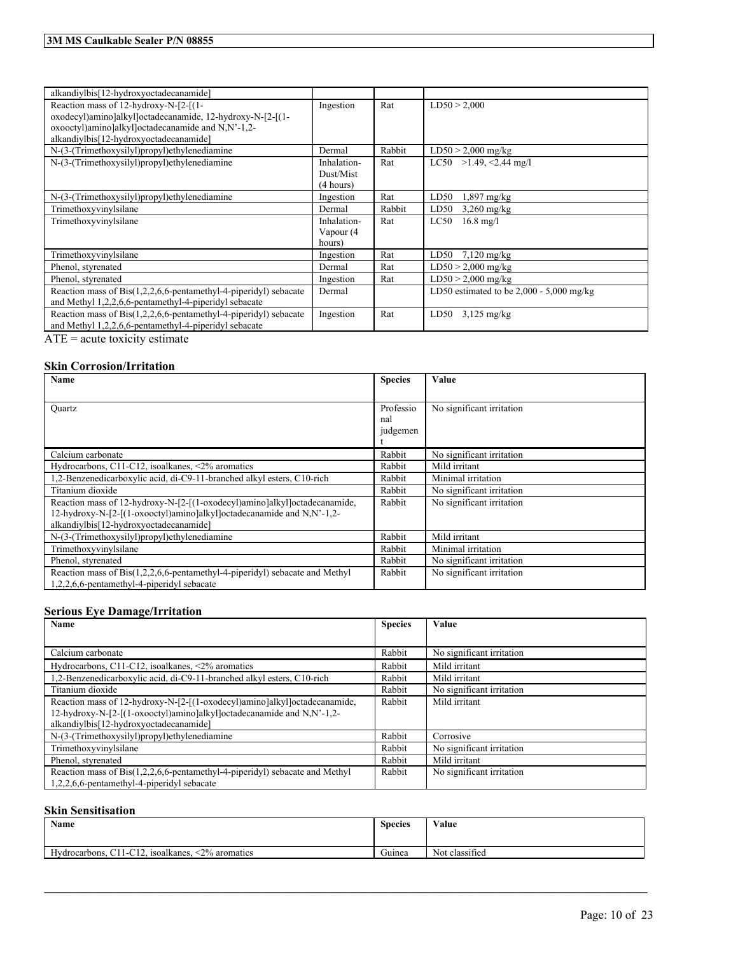| alkandiylbis[12-hydroxyoctadecanamide]                                   |             |        |                                            |
|--------------------------------------------------------------------------|-------------|--------|--------------------------------------------|
| Reaction mass of 12-hydroxy-N-[2-[(1-                                    | Ingestion   | Rat    | LD50 > 2,000                               |
| oxodecyl)amino]alkyl]octadecanamide, 12-hydroxy-N-[2-[(1-                |             |        |                                            |
| oxooctyl)amino]alkyl]octadecanamide and N,N'-1,2-                        |             |        |                                            |
| alkandiylbis[12-hydroxyoctadecanamide]                                   |             |        |                                            |
| N-(3-(Trimethoxysilyl)propyl)ethylenediamine                             | Dermal      | Rabbit | $LD50 > 2,000$ mg/kg                       |
| N-(3-(Trimethoxysilyl)propyl)ethylenediamine                             | Inhalation- | Rat    | LC50 >1.49, <2.44 mg/l                     |
|                                                                          | Dust/Mist   |        |                                            |
|                                                                          | (4 hours)   |        |                                            |
| N-(3-(Trimethoxysilyl)propyl)ethylenediamine                             | Ingestion   | Rat    | LD50<br>$1,897$ mg/kg                      |
| Trimethoxyvinylsilane                                                    | Dermal      | Rabbit | LD50<br>$3,260$ mg/kg                      |
| Trimethoxyvinylsilane                                                    | Inhalation- | Rat    | LC50<br>$16.8 \text{ mg}/1$                |
|                                                                          | Vapour (4   |        |                                            |
|                                                                          | hours)      |        |                                            |
| Trimethoxyvinylsilane                                                    | Ingestion   | Rat    | LD50<br>$7,120 \text{ mg/kg}$              |
| Phenol, styrenated                                                       | Dermal      | Rat    | $LD50 > 2,000$ mg/kg                       |
| Phenol, styrenated                                                       | Ingestion   | Rat    | $LD50 > 2,000$ mg/kg                       |
| Reaction mass of Bis(1,2,2,6,6-pentamethyl-4-piperidyl) sebacate         | Dermal      |        | LD50 estimated to be $2,000 - 5,000$ mg/kg |
| and Methyl 1,2,2,6,6-pentamethyl-4-piperidyl sebacate                    |             |        |                                            |
| Reaction mass of $ Bis(1, 2, 2, 6, 6$ -pentamethyl-4-piperidyl) sebacate | Ingestion   | Rat    | $3,125$ mg/kg<br>LD50                      |
| and Methyl 1,2,2,6,6-pentamethyl-4-piperidyl sebacate                    |             |        |                                            |
|                                                                          |             |        |                                            |

 $\overline{ATE}$  = acute toxicity estimate

### **Skin Corrosion/Irritation**

| Name                                                                        | <b>Species</b> | Value                     |
|-----------------------------------------------------------------------------|----------------|---------------------------|
|                                                                             |                |                           |
| Quartz                                                                      | Professio      | No significant irritation |
|                                                                             | nal            |                           |
|                                                                             | judgemen       |                           |
|                                                                             |                |                           |
| Calcium carbonate                                                           | Rabbit         | No significant irritation |
| Hydrocarbons, $C11-C12$ , isoalkanes, <2% aromatics                         | Rabbit         | Mild irritant             |
| 1,2-Benzenedicarboxylic acid, di-C9-11-branched alkyl esters, C10-rich      | Rabbit         | Minimal irritation        |
| Titanium dioxide                                                            | Rabbit         | No significant irritation |
| Reaction mass of 12-hydroxy-N-[2-[(1-oxodecyl)amino]alkyl]octadecanamide,   | Rabbit         | No significant irritation |
| 12-hydroxy-N-[2-[(1-oxooctyl)amino]alkyl]octadecanamide and N,N'-1,2-       |                |                           |
| alkandiylbis[12-hydroxyoctadecanamide]                                      |                |                           |
| N-(3-(Trimethoxysilyl)propyl)ethylenediamine                                | Rabbit         | Mild irritant             |
| Trimethoxyvinylsilane                                                       | Rabbit         | Minimal irritation        |
| Phenol, styrenated                                                          | Rabbit         | No significant irritation |
| Reaction mass of Bis(1,2,2,6,6-pentamethyl-4-piperidyl) sebacate and Methyl | Rabbit         | No significant irritation |
| 1,2,2,6,6-pentamethyl-4-piperidyl sebacate                                  |                |                           |

### **Serious Eye Damage/Irritation**

| Name                                                                        | <b>Species</b> | Value                     |
|-----------------------------------------------------------------------------|----------------|---------------------------|
|                                                                             |                |                           |
| Calcium carbonate                                                           | Rabbit         | No significant irritation |
| Hydrocarbons, $C11-C12$ , isoalkanes, <2% aromatics                         | Rabbit         | Mild irritant             |
| 2-Benzenedicarboxylic acid, di-C9-11-branched alkyl esters, C10-rich        | Rabbit         | Mild irritant             |
| Titanium dioxide                                                            | Rabbit         | No significant irritation |
| Reaction mass of 12-hydroxy-N-[2-[(1-oxodecyl)amino]alkyl]octadecanamide,   | Rabbit         | Mild irritant             |
| 12-hydroxy-N-[2-[(1-oxooctyl)amino]alkyl]octadecanamide and N,N'-1,2-       |                |                           |
| alkandiylbis[12-hydroxyoctadecanamide]                                      |                |                           |
| N-(3-(Trimethoxysilyl)propyl)ethylenediamine                                | Rabbit         | Corrosive                 |
| Trimethoxyvinylsilane                                                       | Rabbit         | No significant irritation |
| Phenol, styrenated                                                          | Rabbit         | Mild irritant             |
| Reaction mass of Bis(1,2,2,6,6-pentamethyl-4-piperidyl) sebacate and Methyl | Rabbit         | No significant irritation |
| 2,2,6,6-pentamethyl-4-piperidyl sebacate                                    |                |                           |

### **Skin Sensitisation**

| <b>Name</b>                                         | <b>Species</b> | Value<br>.     |
|-----------------------------------------------------|----------------|----------------|
| Hydrocarbons, C11-C12, isoalkanes,<br><2% aromatics | Guinea         | Not classified |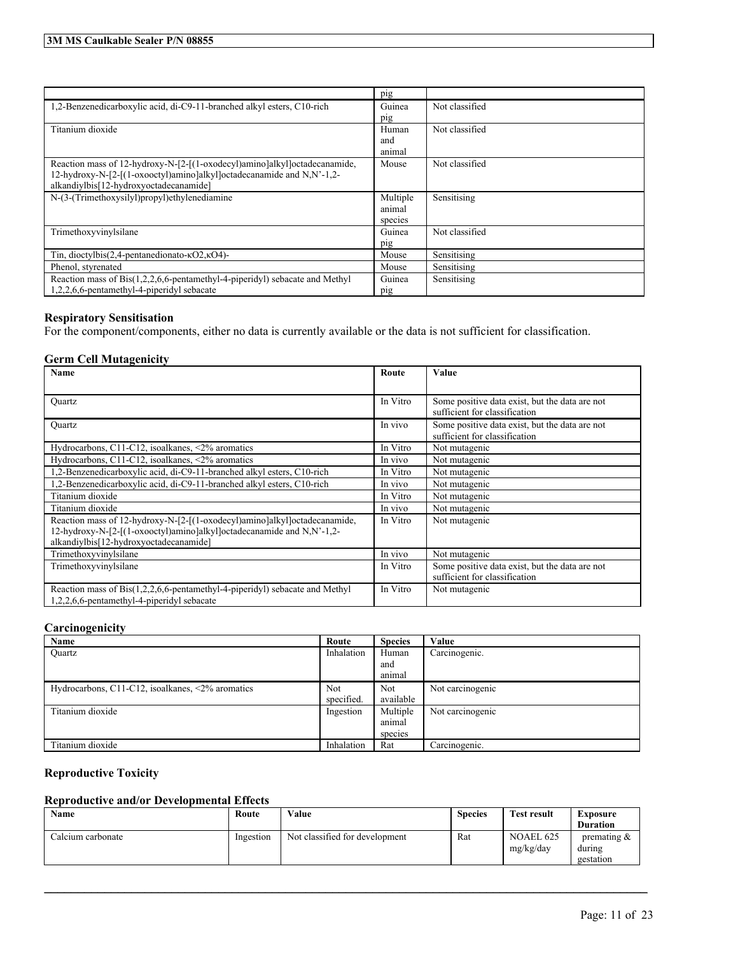|                                                                             | pig      |                |
|-----------------------------------------------------------------------------|----------|----------------|
| 1.2-Benzenedicarboxylic acid, di-C9-11-branched alkyl esters, C10-rich      | Guinea   | Not classified |
|                                                                             | pig      |                |
| Titanium dioxide                                                            | Human    | Not classified |
|                                                                             | and      |                |
|                                                                             | animal   |                |
| Reaction mass of 12-hydroxy-N-[2-[(1-oxodecyl)amino]alkyl]octadecanamide,   | Mouse    | Not classified |
| 12-hydroxy-N-[2-[(1-oxooctyl)amino]alkyl]octadecanamide and N,N'-1,2-       |          |                |
| alkandiylbis[12-hydroxyoctadecanamide]                                      |          |                |
| N-(3-(Trimethoxysilyl)propyl)ethylenediamine                                | Multiple | Sensitising    |
|                                                                             | animal   |                |
|                                                                             | species  |                |
| Trimethoxyvinylsilane                                                       | Guinea   | Not classified |
|                                                                             | pig      |                |
| Tin, dioctylbis(2,4-pentanedionato- $\kappa$ O2, $\kappa$ O4)-              | Mouse    | Sensitising    |
| Phenol, styrenated                                                          | Mouse    | Sensitising    |
| Reaction mass of Bis(1,2,2,6,6-pentamethyl-4-piperidyl) sebacate and Methyl | Guinea   | Sensitising    |
| 1,2,2,6,6-pentamethyl-4-piperidyl sebacate                                  | pig      |                |

### **Respiratory Sensitisation**

For the component/components, either no data is currently available or the data is not sufficient for classification.

### **Germ Cell Mutagenicity**

| <b>Name</b>                                                                           | Route    | <b>Value</b>                                                                    |
|---------------------------------------------------------------------------------------|----------|---------------------------------------------------------------------------------|
|                                                                                       |          |                                                                                 |
| Ouartz                                                                                | In Vitro | Some positive data exist, but the data are not                                  |
|                                                                                       |          | sufficient for classification                                                   |
| Ouartz                                                                                | In vivo  | Some positive data exist, but the data are not<br>sufficient for classification |
| Hydrocarbons, C11-C12, isoalkanes, $\langle 2\%$ aromatics                            | In Vitro | Not mutagenic                                                                   |
| Hydrocarbons, C11-C12, isoalkanes, $\langle 2\%$ aromatics                            | In vivo  | Not mutagenic                                                                   |
| 1,2-Benzenedicarboxylic acid, di-C9-11-branched alkyl esters, C10-rich                | In Vitro | Not mutagenic                                                                   |
| 1,2-Benzenedicarboxylic acid, di-C9-11-branched alkyl esters, C10-rich                | In vivo  | Not mutagenic                                                                   |
| Titanium dioxide                                                                      | In Vitro | Not mutagenic                                                                   |
| Titanium dioxide                                                                      | In vivo  | Not mutagenic                                                                   |
| Reaction mass of 12-hydroxy-N-[2-[(1-oxodecyl)amino]alkyl]octadecanamide,             | In Vitro | Not mutagenic                                                                   |
| 12-hydroxy-N-[2-[(1-oxooctyl)amino]alkyl]octadecanamide and N,N'-1,2-                 |          |                                                                                 |
| alkandiylbis[12-hydroxyoctadecanamide]                                                |          |                                                                                 |
| Trimethoxyvinylsilane                                                                 | In vivo  | Not mutagenic                                                                   |
| Trimethoxyvinylsilane                                                                 | In Vitro | Some positive data exist, but the data are not                                  |
|                                                                                       |          | sufficient for classification                                                   |
| Reaction mass of $\text{Bis}(1,2,2,6,6$ -pentamethyl-4-piperidyl) sebacate and Methyl | In Vitro | Not mutagenic                                                                   |
| 1,2,2,6,6-pentamethyl-4-piperidyl sebacate                                            |          |                                                                                 |

### **Carcinogenicity**

| Name                                                          | Route      | <b>Species</b> | Value            |
|---------------------------------------------------------------|------------|----------------|------------------|
| <b>Ouartz</b>                                                 | Inhalation | Human          | Carcinogenic.    |
|                                                               |            | and            |                  |
|                                                               |            | animal         |                  |
| Hydrocarbons, $C11-C12$ , isoalkanes, $\langle 2\%$ aromatics | <b>Not</b> | <b>Not</b>     | Not carcinogenic |
|                                                               | specified. | available      |                  |
| Titanium dioxide                                              | Ingestion  | Multiple       | Not carcinogenic |
|                                                               |            | animal         |                  |
|                                                               |            | species        |                  |
| Titanium dioxide                                              | Inhalation | Rat            | Carcinogenic.    |

## **Reproductive Toxicity**

### **Reproductive and/or Developmental Effects**

| Name              | Route     | Value                          | <b>Species</b> | <b>Test result</b>     | <b>Exposure</b><br><b>Duration</b>    |
|-------------------|-----------|--------------------------------|----------------|------------------------|---------------------------------------|
| Calcium carbonate | Ingestion | Not classified for development | Rat            | NOAEL 625<br>mg/kg/day | premating $\&$<br>during<br>gestation |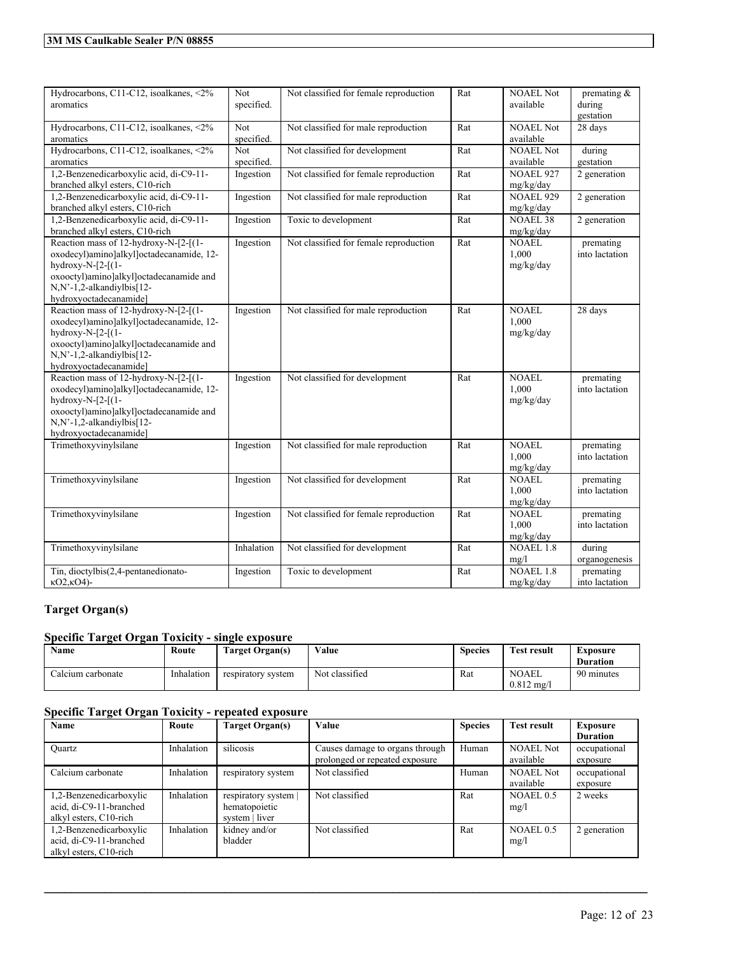| Hydrocarbons, C11-C12, isoalkanes, <2%<br>aromatics                                                                                                                                                        | Not<br>specified. | Not classified for female reproduction | Rat | <b>NOAEL Not</b><br>available      | premating $\&$<br>during<br>gestation |
|------------------------------------------------------------------------------------------------------------------------------------------------------------------------------------------------------------|-------------------|----------------------------------------|-----|------------------------------------|---------------------------------------|
| Hydrocarbons, C11-C12, isoalkanes, <2%<br>aromatics                                                                                                                                                        | Not<br>specified. | Not classified for male reproduction   | Rat | <b>NOAEL Not</b><br>available      | 28 days                               |
| Hydrocarbons, C11-C12, isoalkanes, <2%<br>aromatics                                                                                                                                                        | Not<br>specified. | Not classified for development         | Rat | <b>NOAEL Not</b><br>available      | during<br>gestation                   |
| 1,2-Benzenedicarboxylic acid, di-C9-11-<br>branched alkyl esters, C10-rich                                                                                                                                 | Ingestion         | Not classified for female reproduction | Rat | <b>NOAEL 927</b><br>mg/kg/day      | 2 generation                          |
| 1,2-Benzenedicarboxylic acid, di-C9-11-<br>branched alkyl esters, C10-rich                                                                                                                                 | Ingestion         | Not classified for male reproduction   | Rat | <b>NOAEL 929</b><br>mg/kg/day      | 2 generation                          |
| 1,2-Benzenedicarboxylic acid, di-C9-11-<br>branched alkyl esters, C10-rich                                                                                                                                 | Ingestion         | Toxic to development                   | Rat | <b>NOAEL 38</b><br>mg/kg/day       | 2 generation                          |
| Reaction mass of 12-hydroxy-N-[2-[(1-<br>oxodecyl)amino]alkyl]octadecanamide, 12-<br>hydroxy-N- $[2-[1-$<br>oxooctyl)amino]alkyl]octadecanamide and<br>N,N'-1,2-alkandiylbis[12-<br>hydroxyoctadecanamide] | Ingestion         | Not classified for female reproduction | Rat | <b>NOAEL</b><br>1,000<br>mg/kg/day | premating<br>into lactation           |
| Reaction mass of 12-hydroxy-N-[2-[(1-<br>oxodecyl)amino]alkyl]octadecanamide, 12-<br>hydroxy-N- $[2-[1-$<br>oxooctyl)amino]alkyl]octadecanamide and<br>N,N'-1,2-alkandiylbis[12-<br>hydroxyoctadecanamide] | Ingestion         | Not classified for male reproduction   | Rat | <b>NOAEL</b><br>1.000<br>mg/kg/day | 28 days                               |
| Reaction mass of 12-hydroxy-N-[2-[(1-<br>oxodecyl)amino]alkyl]octadecanamide, 12-<br>hydroxy-N- $[2-[1-$<br>oxooctyl)amino]alkyl]octadecanamide and<br>N,N'-1,2-alkandiylbis[12-<br>hydroxyoctadecanamide] | Ingestion         | Not classified for development         | Rat | <b>NOAEL</b><br>1,000<br>mg/kg/day | premating<br>into lactation           |
| Trimethoxyvinylsilane                                                                                                                                                                                      | Ingestion         | Not classified for male reproduction   | Rat | <b>NOAEL</b><br>1.000<br>mg/kg/day | premating<br>into lactation           |
| Trimethoxyvinylsilane                                                                                                                                                                                      | Ingestion         | Not classified for development         | Rat | <b>NOAEL</b><br>1,000<br>mg/kg/day | premating<br>into lactation           |
| Trimethoxyvinylsilane                                                                                                                                                                                      | Ingestion         | Not classified for female reproduction | Rat | <b>NOAEL</b><br>1,000<br>mg/kg/day | premating<br>into lactation           |
| Trimethoxyvinylsilane                                                                                                                                                                                      | Inhalation        | Not classified for development         | Rat | <b>NOAEL 1.8</b><br>mg/l           | during<br>organogenesis               |
| Tin, dioctylbis(2,4-pentanedionato-<br>$kO2kO4$ -                                                                                                                                                          | Ingestion         | Toxic to development                   | Rat | <b>NOAEL 1.8</b><br>mg/kg/day      | premating<br>into lactation           |

## **Target Organ(s)**

### **Specific Target Organ Toxicity - single exposure**

| Name              | Route      | Target Organ(s)    | Value          | Species | Test result                           | Exposure<br><b>Duration</b> |
|-------------------|------------|--------------------|----------------|---------|---------------------------------------|-----------------------------|
| Calcium carbonate | Inhalation | respiratory system | Not classified | Rat     | <b>NOAEL</b><br>$0.812 \text{ m}$ g/i | 90 minutes                  |

## **Specific Target Organ Toxicity - repeated exposure**

| Name                    | Route      | <b>Target Organ(s)</b> | Value                           | <b>Species</b> | <b>Test result</b> | Exposure        |
|-------------------------|------------|------------------------|---------------------------------|----------------|--------------------|-----------------|
|                         |            |                        |                                 |                |                    | <b>Duration</b> |
| <b>Ouartz</b>           | Inhalation | silicosis              | Causes damage to organs through | Human          | <b>NOAEL Not</b>   | occupational    |
|                         |            |                        | prolonged or repeated exposure  |                | available          | exposure        |
| Calcium carbonate       | Inhalation | respiratory system     | Not classified                  | Human          | <b>NOAEL Not</b>   | occupational    |
|                         |            |                        |                                 |                | available          | exposure        |
| 1,2-Benzenedicarboxylic | Inhalation | respiratory system     | Not classified                  | Rat            | NOAEL 0.5          | 2 weeks         |
| acid, di-C9-11-branched |            | hematopoietic          |                                 |                | mg/l               |                 |
| alkyl esters, C10-rich  |            | system   liver         |                                 |                |                    |                 |
| 1,2-Benzenedicarboxylic | Inhalation | kidney and/or          | Not classified                  | Rat            | NOAEL 0.5          | 2 generation    |
| acid, di-C9-11-branched |            | bladder                |                                 |                | mg/l               |                 |
| alkyl esters, C10-rich  |            |                        |                                 |                |                    |                 |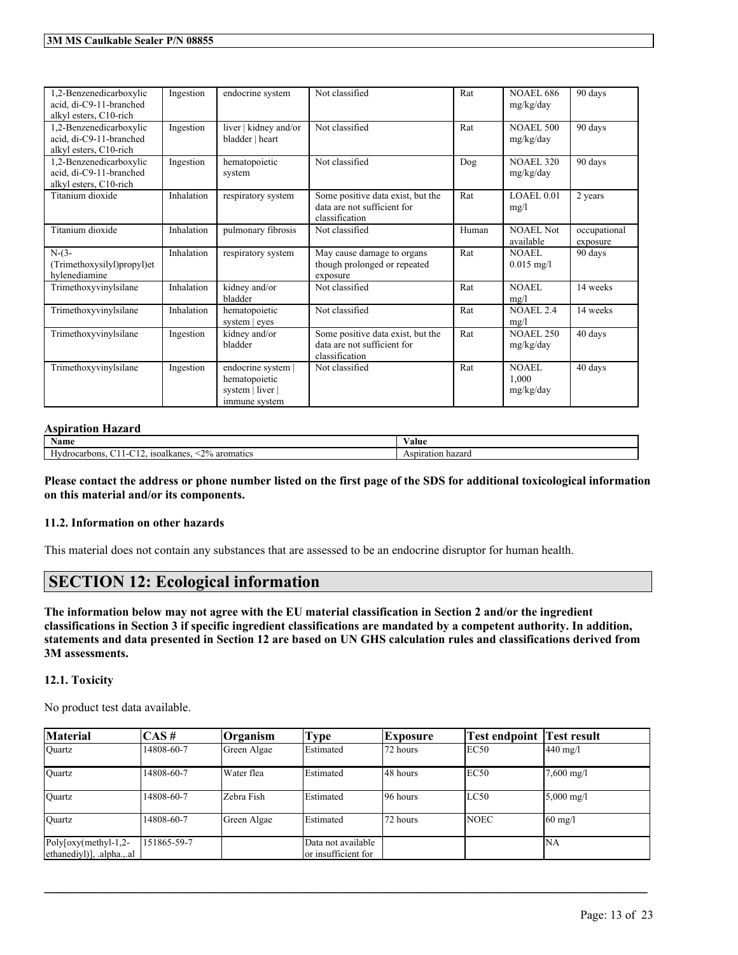| 1,2-Benzenedicarboxylic<br>acid. di-C9-11-branched<br>alkyl esters, C10-rich | Ingestion  | endocrine system                                                         | Not classified                                                                     | Rat   | <b>NOAEL 686</b><br>mg/kg/day | 90 days                  |
|------------------------------------------------------------------------------|------------|--------------------------------------------------------------------------|------------------------------------------------------------------------------------|-------|-------------------------------|--------------------------|
| 1,2-Benzenedicarboxylic<br>acid, di-C9-11-branched<br>alkyl esters, C10-rich | Ingestion  | liver   kidney and/or<br>bladder   heart                                 | Not classified                                                                     | Rat   | <b>NOAEL 500</b><br>mg/kg/day | 90 days                  |
| 1,2-Benzenedicarboxylic<br>acid, di-C9-11-branched<br>alkyl esters, C10-rich | Ingestion  | hematopoietic<br>system                                                  | Not classified                                                                     | Dog   | <b>NOAEL 320</b><br>mg/kg/day | 90 days                  |
| Titanium dioxide                                                             | Inhalation | respiratory system                                                       | Some positive data exist, but the<br>data are not sufficient for<br>classification | Rat   | LOAEL0.01<br>mg/l             | 2 years                  |
| Titanium dioxide                                                             | Inhalation | pulmonary fibrosis                                                       | Not classified                                                                     | Human | <b>NOAEL Not</b><br>available | occupational<br>exposure |
| $N-(3-$<br>(Trimethoxysilyl)propyl)et<br>hylenediamine                       | Inhalation | respiratory system                                                       | May cause damage to organs<br>though prolonged or repeated<br>exposure             | Rat   | NOAEL.<br>$0.015$ mg/l        | 90 days                  |
| Trimethoxyvinylsilane                                                        | Inhalation | kidney and/or<br>bladder                                                 | Not classified                                                                     | Rat   | NOAEL<br>mg/l                 | 14 weeks                 |
| Trimethoxyvinylsilane                                                        | Inhalation | hematopoietic<br>system   eyes                                           | Not classified                                                                     | Rat   | <b>NOAEL 2.4</b><br>mg/l      | 14 weeks                 |
| Trimethoxyvinylsilane                                                        | Ingestion  | kidney and/or<br>bladder                                                 | Some positive data exist, but the<br>data are not sufficient for<br>classification | Rat   | <b>NOAEL 250</b><br>mg/kg/day | 40 days                  |
| Trimethoxyvinylsilane                                                        | Ingestion  | endocrine system  <br>hematopoietic<br>system   liver  <br>immune system | Not classified                                                                     | Rat   | NOAEL<br>1,000<br>mg/kg/day   | 40 days                  |

### **Aspiration Hazard**

| Name                                                                           | 'alue                |  |  |
|--------------------------------------------------------------------------------|----------------------|--|--|
| 20 <sub>4</sub><br>---<br>aromatics<br>rocarbons<br>isoalkane:<br>$\mathbf{v}$ | hazard<br>Aspiration |  |  |

Please contact the address or phone number listed on the first page of the SDS for additional toxicological information **on this material and/or its components.**

### **11.2. Information on other hazards**

This material does not contain any substances that are assessed to be an endocrine disruptor for human health.

## **SECTION 12: Ecological information**

The information below may not agree with the EU material classification in Section 2 and/or the ingredient classifications in Section 3 if specific ingredient classifications are mandated by a competent authority. In addition, statements and data presented in Section 12 are based on UN GHS calculation rules and classifications derived from **3M assessments.**

### **12.1. Toxicity**

No product test data available.

| <b>Material</b>                                                                           | ICAS #      | Organism    | Type                                       | Exposure | Test endpoint  Test result |                         |
|-------------------------------------------------------------------------------------------|-------------|-------------|--------------------------------------------|----------|----------------------------|-------------------------|
| Ouartz                                                                                    | 14808-60-7  | Green Algae | Estimated                                  | 72 hours | EC50                       | $440 \text{ mg}/l$      |
| Quartz                                                                                    | 14808-60-7  | Water flea  | Estimated                                  | 48 hours | EC50                       | $7,600 \text{ mg/l}$    |
| Quartz                                                                                    | 14808-60-7  | Zebra Fish  | Estimated                                  | 96 hours | LC50                       | $5,000 \text{ mg/l}$    |
| <b>Ouartz</b>                                                                             | 14808-60-7  | Green Algae | Estimated                                  | 72 hours | <b>NOEC</b>                | $\left 60 \right $ mg/l |
| Poly $\lceil \text{oxy}(\text{methyl-1}, 2 - \text{Cov}\rceil)$<br>ethanediyl)], .alphaal | 151865-59-7 |             | Data not available<br>lor insufficient for |          |                            | İNA                     |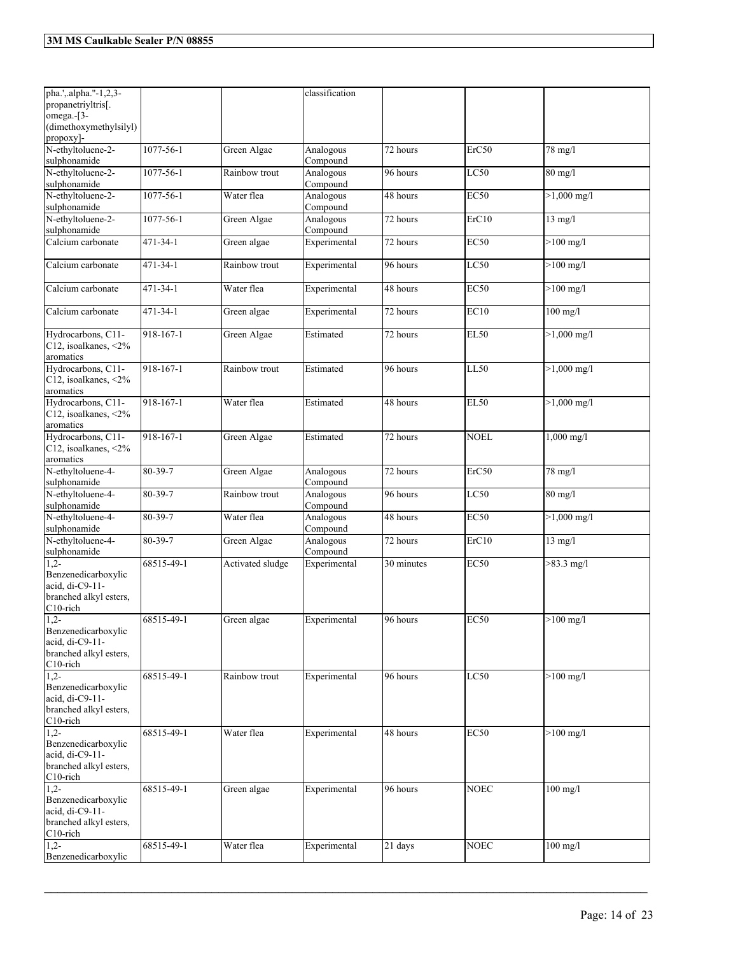| pha.',.alpha."-1,2,3-<br>propanetriyltris[.<br>omega.-[3-<br>(dimethoxymethylsilyl)       |                |                  | classification        |                       |                           |                     |
|-------------------------------------------------------------------------------------------|----------------|------------------|-----------------------|-----------------------|---------------------------|---------------------|
| propoxy]-                                                                                 |                |                  |                       |                       |                           |                     |
| N-ethyltoluene-2-<br>sulphonamide                                                         | 1077-56-1      | Green Algae      | Analogous<br>Compound | 72 hours              | ErC50                     | 78 mg/l             |
| N-ethyltoluene-2-<br>sulphonamide                                                         | 1077-56-1      | Rainbow trout    | Analogous<br>Compound | 96 hours              | LC50                      | 80 mg/l             |
| N-ethyltoluene-2-<br>sulphonamide                                                         | 1077-56-1      | Water flea       | Analogous<br>Compound | 48 hours              | <b>EC50</b>               | $>1,000$ mg/l       |
| N-ethyltoluene-2-<br>sulphonamide                                                         | 1077-56-1      | Green Algae      | Analogous<br>Compound | 72 hours              | ErC10                     | $13$ mg/l           |
| Calcium carbonate                                                                         | 471-34-1       | Green algae      | Experimental          | 72 hours              | <b>EC50</b>               | $>100$ mg/l         |
| Calcium carbonate                                                                         | $471 - 34 - 1$ | Rainbow trout    | Experimental          | 96 hours              | LC50                      | $>100$ mg/l         |
| Calcium carbonate                                                                         | 471-34-1       | Water flea       | Experimental          | 48 hours              | <b>EC50</b>               | $>100$ mg/l         |
| Calcium carbonate                                                                         | 471-34-1       | Green algae      | Experimental          | 72 hours              | EC10                      | $100$ mg/l          |
| Hydrocarbons, C11-<br>C12, isoalkanes, <2%<br>aromatics                                   | 918-167-1      | Green Algae      | Estimated             | 72 hours              | <b>EL50</b>               | $>1,000$ mg/l       |
| Hydrocarbons, C11-<br>C12, isoalkanes, <2%<br>aromatics                                   | 918-167-1      | Rainbow trout    | Estimated             | 96 hours              | $\overline{\text{LL5}}$ 0 | $>1,000$ mg/l       |
| Hydrocarbons, C11-<br>C12, isoalkanes, <2%<br>aromatics                                   | 918-167-1      | Water flea       | Estimated             | 48 hours              | <b>EL50</b>               | $>1,000$ mg/l       |
| Hydrocarbons, C11-<br>C12, isoalkanes, <2%<br>aromatics                                   | 918-167-1      | Green Algae      | Estimated             | 72 hours              | <b>NOEL</b>               | 1,000 mg/l          |
| N-ethyltoluene-4-<br>sulphonamide                                                         | 80-39-7        | Green Algae      | Analogous<br>Compound | $\overline{72}$ hours | ErC50                     | 78 mg/l             |
| N-ethyltoluene-4-<br>sulphonamide                                                         | 80-39-7        | Rainbow trout    | Analogous<br>Compound | 96 hours              | LC50                      | 80 mg/l             |
| N-ethyltoluene-4-<br>sulphonamide                                                         | 80-39-7        | Water flea       | Analogous<br>Compound | 48 hours              | <b>EC50</b>               | $>1,000$ mg/l       |
| N-ethyltoluene-4-<br>sulphonamide                                                         | 80-39-7        | Green Algae      | Analogous<br>Compound | 72 hours              | ErC10                     | $13 \text{ mg/l}$   |
| $1.2 -$<br>Benzenedicarboxylic<br>acid, di-C9-11-<br>branched alkyl esters,<br>C10-rich   | 68515-49-1     | Activated sludge | Experimental          | 30 minutes            | <b>EC50</b>               | $>83.3$ mg/l        |
| $1,2-$<br>Benzenedicarboxylic<br>acid. di-C9-11-<br>branched alkyl esters,<br>C10-rich    | 68515-49-1     | Green algae      | Experimental          | 96 hours              | <b>EC50</b>               | $>100 \text{ mg/l}$ |
| $1,2-$<br>Benzenedicarboxylic<br>acid, di-C9-11-<br>branched alkyl esters.<br>$C10$ -rich | 68515-49-1     | Rainbow trout    | Experimental          | 96 hours              | LC50                      | $>100$ mg/l         |
| $1,2-$<br>Benzenedicarboxylic<br>acid. di-C9-11-<br>branched alkyl esters,<br>$C10$ -rich | 68515-49-1     | Water flea       | Experimental          | 48 hours              | <b>EC50</b>               | $>100$ mg/l         |
| $1,2-$<br>Benzenedicarboxylic<br>acid, di-C9-11-<br>branched alkyl esters,<br>C10-rich    | 68515-49-1     | Green algae      | Experimental          | 96 hours              | <b>NOEC</b>               | $100$ mg/l          |
| $1,2-$<br>Benzenedicarboxylic                                                             | 68515-49-1     | Water flea       | Experimental          | 21 days               | <b>NOEC</b>               | $100$ mg/l          |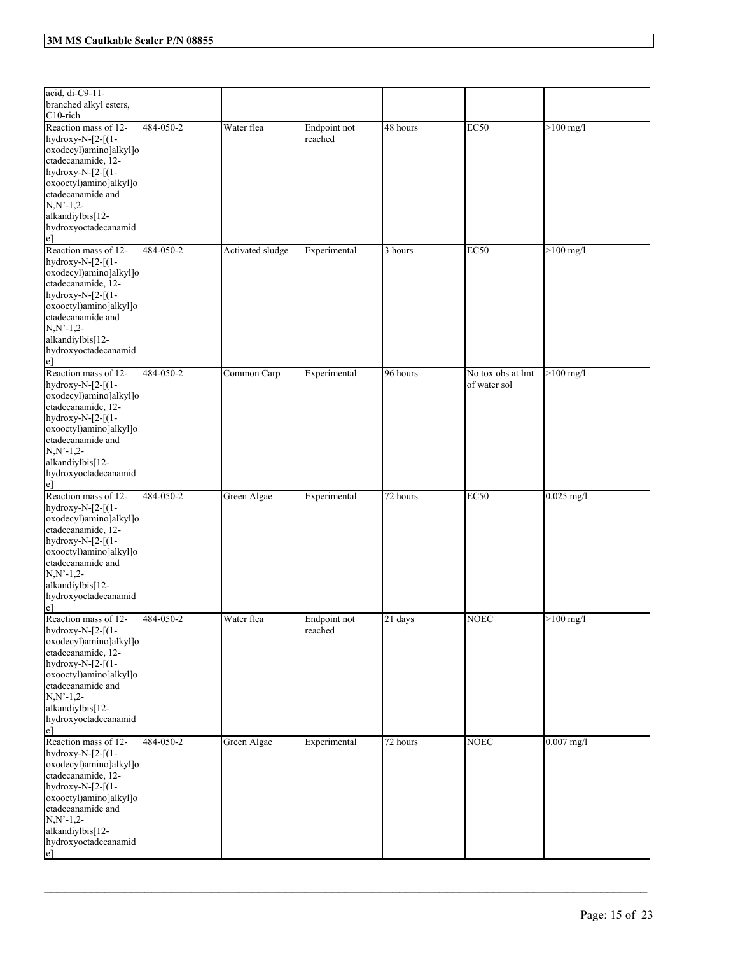| acid, di-C9-11-<br>branched alkyl esters,<br>$C10$ -rich                                                                                                                                                                                 |           |                  |                         |          |                                   |              |
|------------------------------------------------------------------------------------------------------------------------------------------------------------------------------------------------------------------------------------------|-----------|------------------|-------------------------|----------|-----------------------------------|--------------|
| Reaction mass of 12-<br>hydroxy-N- $[2-[1-$<br>oxodecyl)amino]alkyl]o<br>ctadecanamide, 12-<br>hydroxy-N- $[2-[(1-$<br>oxooctyl)amino]alkyl]o<br>ctadecanamide and<br>$N, N'-1, 2-$<br>alkandiylbis[12-<br>hydroxyoctadecanamid<br>$e$ ] | 484-050-2 | Water flea       | Endpoint not<br>reached | 48 hours | <b>EC50</b>                       | $>100$ mg/l  |
| Reaction mass of 12-<br>hydroxy-N-[2-[(1-<br>oxodecyl)amino]alkyl]o<br>ctadecanamide, 12-<br>hydroxy-N- $[2-[(1-$<br>oxooctyl)amino]alkyl]o<br>ctadecanamide and<br>$N, N'-1, 2-$<br>alkandiylbis[12-<br>hydroxyoctadecanamid<br>$e$ ]   | 484-050-2 | Activated sludge | Experimental            | 3 hours  | <b>EC50</b>                       | $>100$ mg/l  |
| Reaction mass of 12-<br>hydroxy-N-[2-[(1-<br>oxodecyl)amino]alkyl]o<br>ctadecanamide, 12-<br>hydroxy-N- $[2-[(1-$<br>oxooctyl)amino]alkyl]o<br>ctadecanamide and<br>$N, N'-1, 2-$<br>alkandiylbis[12-<br>hydroxyoctadecanamid<br>$e$ ]   | 484-050-2 | Common Carp      | Experimental            | 96 hours | No tox obs at lmt<br>of water sol | $>100$ mg/l  |
| Reaction mass of 12-<br>hydroxy-N-[2-[(1-<br>oxodecyl)amino]alkyl]o<br>ctadecanamide, 12-<br>hydroxy-N- $[2-[(1-$<br>oxooctyl)amino]alkyl]o<br>ctadecanamide and<br>$N, N'-1, 2-$<br>alkandiylbis[12-<br>hydroxyoctadecanamid<br>$e$ ]   | 484-050-2 | Green Algae      | Experimental            | 72 hours | <b>EC50</b>                       | $0.025$ mg/l |
| Reaction mass of 12-<br>hydroxy-N- $[2-[1-$<br>oxodecyl)amino]alkyl]o<br>ctadecanamide, 12-<br>hydroxy-N-[2-[(1-<br>oxooctyl)amino]alkyl]o<br>ctadecanamide and<br>$N, N'-1, 2-$<br>alkandiylbis[12-<br>hydroxyoctadecanamid<br>$e$ ]    | 484-050-2 | Water flea       | Endpoint not<br>reached | 21 days  | <b>NOEC</b>                       | $>100$ mg/l  |
| Reaction mass of 12-<br>hydroxy-N-[2-[(1-<br>oxodecyl)amino]alkyl]o<br>ctadecanamide, 12-<br>hydroxy-N-[2-[(1-<br>oxooctyl)amino]alkyl]o<br>ctadecanamide and<br>$N, N'-1, 2-$<br>alkandiylbis[12-<br>hydroxyoctadecanamid<br>$e$ ]      | 484-050-2 | Green Algae      | Experimental            | 72 hours | <b>NOEC</b>                       | $0.007$ mg/l |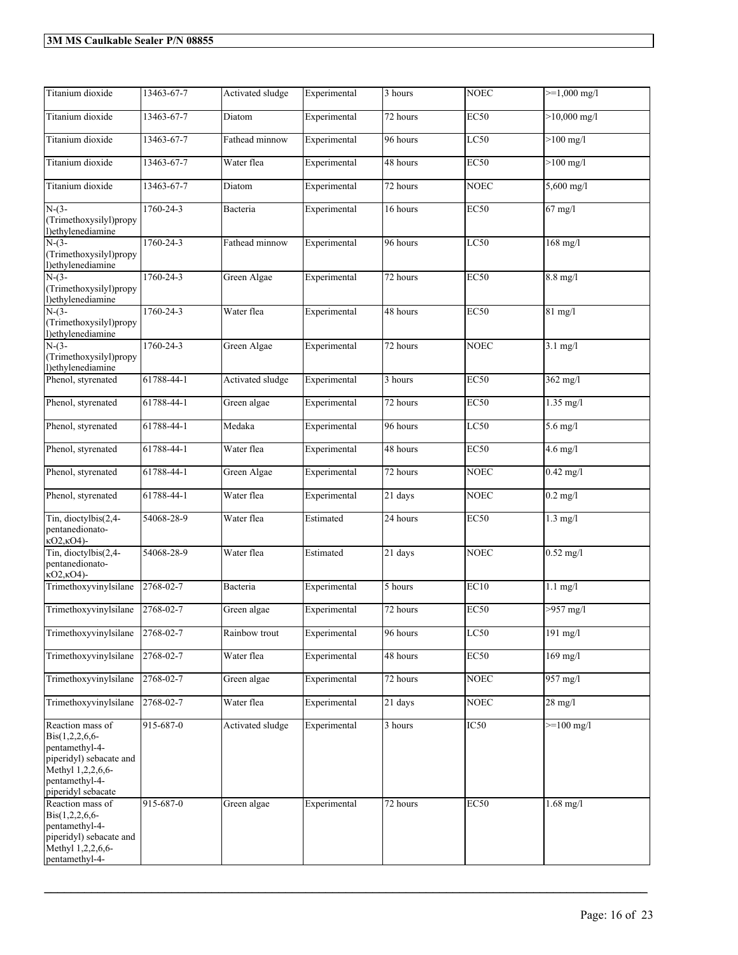| Titanium dioxide                                                                                                                                      | 13463-67-7 | Activated sludge | Experimental | $\overline{3}$ hours | <b>NOEC</b> | $>=1,000$ mg/l    |
|-------------------------------------------------------------------------------------------------------------------------------------------------------|------------|------------------|--------------|----------------------|-------------|-------------------|
| Titanium dioxide                                                                                                                                      | 13463-67-7 | Diatom           | Experimental | 72 hours             | <b>EC50</b> | $>10,000$ mg/l    |
| Titanium dioxide                                                                                                                                      | 13463-67-7 | Fathead minnow   | Experimental | 96 hours             | LC50        | $>100$ mg/l       |
| Titanium dioxide                                                                                                                                      | 13463-67-7 | Water flea       | Experimental | 48 hours             | <b>EC50</b> | $>100$ mg/l       |
| Titanium dioxide                                                                                                                                      | 13463-67-7 | Diatom           | Experimental | 72 hours             | <b>NOEC</b> | 5,600 mg/l        |
| $N-(3-$<br>(Trimethoxysilyl)propy<br>l)ethylenediamine                                                                                                | 1760-24-3  | Bacteria         | Experimental | 16 hours             | <b>EC50</b> | $67$ mg/l         |
| $N-(3-$<br>(Trimethoxysilyl)propy<br>l)ethylenediamine                                                                                                | 1760-24-3  | Fathead minnow   | Experimental | 96 hours             | LC50        | $168$ mg/l        |
| $N-(3-$<br>(Trimethoxysilyl)propy<br>l)ethylenediamine                                                                                                | 1760-24-3  | Green Algae      | Experimental | 72 hours             | <b>EC50</b> | $8.8$ mg/l        |
| $N-(3-$<br>(Trimethoxysilyl)propy<br>l)ethylenediamine                                                                                                | 1760-24-3  | Water flea       | Experimental | 48 hours             | <b>EC50</b> | $81$ mg/l         |
| $N-(3-$<br>(Trimethoxysilyl)propy<br>l)ethylenediamine                                                                                                | 1760-24-3  | Green Algae      | Experimental | 72 hours             | <b>NOEC</b> | $3.1$ mg/l        |
| Phenol, styrenated                                                                                                                                    | 61788-44-1 | Activated sludge | Experimental | 3 hours              | <b>EC50</b> | $362$ mg/l        |
| Phenol, styrenated                                                                                                                                    | 61788-44-1 | Green algae      | Experimental | 72 hours             | <b>EC50</b> | $1.35$ mg/l       |
| Phenol, styrenated                                                                                                                                    | 61788-44-1 | Medaka           | Experimental | 96 hours             | LC50        | $5.6$ mg/l        |
| Phenol, styrenated                                                                                                                                    | 61788-44-1 | Water flea       | Experimental | 48 hours             | <b>EC50</b> | $4.6$ mg/l        |
| Phenol, styrenated                                                                                                                                    | 61788-44-1 | Green Algae      | Experimental | 72 hours             | <b>NOEC</b> | $0.42$ mg/l       |
| Phenol, styrenated                                                                                                                                    | 61788-44-1 | Water flea       | Experimental | $\overline{21}$ days | <b>NOEC</b> | $0.2$ mg/l        |
| Tin, dioctylbis(2,4-<br>pentanedionato-<br>кО2, кО4)-                                                                                                 | 54068-28-9 | Water flea       | Estimated    | 24 hours             | <b>EC50</b> | $1.3$ mg/l        |
| Tin, dioctylbis(2,4-<br>pentanedionato-<br>$kO2kO4$ -                                                                                                 | 54068-28-9 | Water flea       | Estimated    | 21 days              | <b>NOEC</b> | $0.52$ mg/l       |
| Trimethoxyvinylsilane                                                                                                                                 | 2768-02-7  | Bacteria         | Experimental | 5 hours              | EC10        | $1.1$ mg/l        |
| Trimethoxyvinylsilane                                                                                                                                 | 2768-02-7  | Green algae      | Experimental | 72 hours             | <b>EC50</b> | $>957$ mg/l       |
| Trimethoxyvinylsilane                                                                                                                                 | 2768-02-7  | Rainbow trout    | Experimental | 96 hours             | LC50        | $191$ mg/l        |
| Trimethoxyvinylsilane                                                                                                                                 | 2768-02-7  | Water flea       | Experimental | 48 hours             | EC50        | $169$ mg/l        |
| Trimethoxyvinylsilane                                                                                                                                 | 2768-02-7  | Green algae      | Experimental | 72 hours             | <b>NOEC</b> | 957 mg/l          |
| Trimethoxyvinylsilane                                                                                                                                 | 2768-02-7  | Water flea       | Experimental | 21 days              | <b>NOEC</b> | $28 \text{ mg/l}$ |
| Reaction mass of<br>$\text{Bis}(1,2,2,6,6-$<br>pentamethyl-4-<br>piperidyl) sebacate and<br>Methyl 1,2,2,6,6-<br>pentamethyl-4-<br>piperidyl sebacate | 915-687-0  | Activated sludge | Experimental | 3 hours              | IC50        | $>=100$ mg/l      |
| Reaction mass of<br>$Bis(1,2,2,6,6-$<br>pentamethyl-4-<br>piperidyl) sebacate and<br>Methyl 1,2,2,6,6-<br>pentamethyl-4-                              | 915-687-0  | Green algae      | Experimental | 72 hours             | EC50        | $1.68$ mg/l       |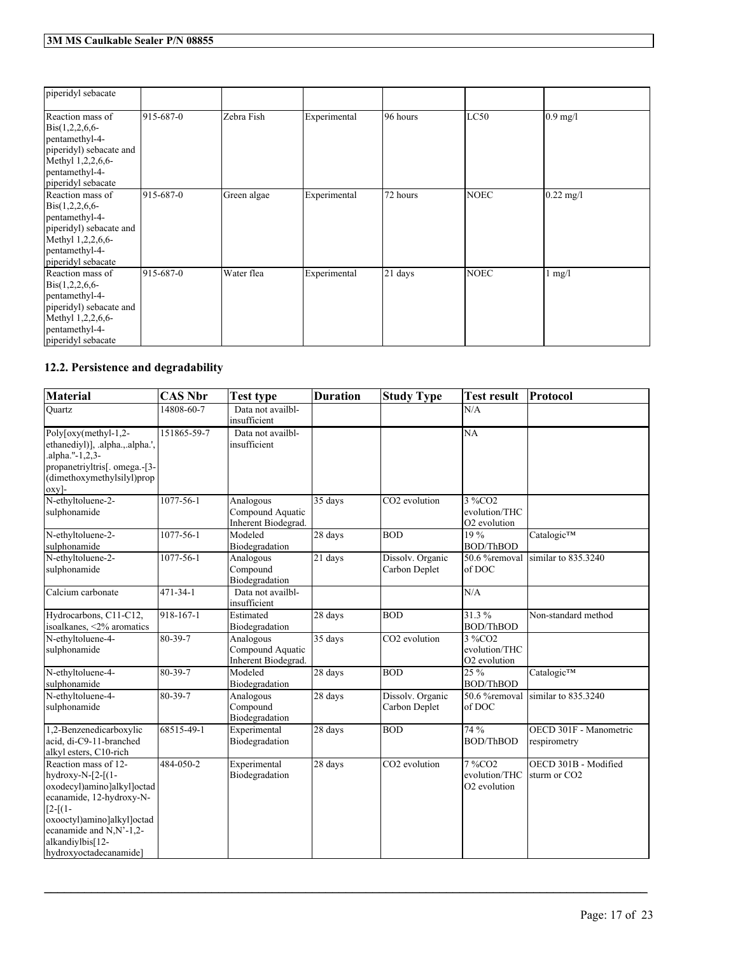| piperidyl sebacate                                                                                                                                     |           |             |              |          |             |                     |
|--------------------------------------------------------------------------------------------------------------------------------------------------------|-----------|-------------|--------------|----------|-------------|---------------------|
| Reaction mass of<br>$\text{Bis}(1,2,2,6,6-$<br>pentamethyl-4-<br>piperidyl) sebacate and<br>Methyl 1,2,2,6,6-<br>pentamethyl-4-<br>piperidyl sebacate  | 915-687-0 | Zebra Fish  | Experimental | 96 hours | LC50        | $0.9$ mg/l          |
| Reaction mass of<br>$\text{Bis}(1,2,2,6,6-$<br>pentamethyl-4-<br>piperidyl) sebacate and<br>Methyl 1,2,2,6,6-<br>pentamethyl-4-<br>piperidyl sebacate  | 915-687-0 | Green algae | Experimental | 72 hours | <b>NOEC</b> | $0.22 \text{ mg}/1$ |
| Reaction mass of<br>$\text{Bis}(1,2,2,6,6$ -<br>pentamethyl-4-<br>piperidyl) sebacate and<br>Methyl 1,2,2,6,6-<br>pentamethyl-4-<br>piperidyl sebacate | 915-687-0 | Water flea  | Experimental | 21 days  | <b>NOEC</b> | $1 \text{ mg/l}$    |

## **12.2. Persistence and degradability**

| <b>Material</b>                                                                                                                                                                                                        | <b>CAS Nbr</b>   | <b>Test type</b>                                     | <b>Duration</b>      | <b>Study Type</b>                 | <b>Test result</b>                                  | Protocol                                         |
|------------------------------------------------------------------------------------------------------------------------------------------------------------------------------------------------------------------------|------------------|------------------------------------------------------|----------------------|-----------------------------------|-----------------------------------------------------|--------------------------------------------------|
| Ouartz                                                                                                                                                                                                                 | 14808-60-7       | Data not availbl-<br>insufficient                    |                      |                                   | N/A                                                 |                                                  |
| Poly[oxy(methyl-1,2-<br>ethanediyl)], .alpha.,.alpha.',<br>.alpha."-1,2,3-<br>propanetriyltris[. omega.-[3-<br>(dimethoxymethylsilyl)prop<br>oxy]-                                                                     | 151865-59-7      | Data not availbl-<br>insufficient                    |                      |                                   | <b>NA</b>                                           |                                                  |
| N-ethyltoluene-2-<br>sulphonamide                                                                                                                                                                                      | 1077-56-1        | Analogous<br>Compound Aquatic<br>Inherent Biodegrad. | 35 days              | CO <sub>2</sub> evolution         | 3 %CO2<br>evolution/THC<br>O <sub>2</sub> evolution |                                                  |
| N-ethyltoluene-2-<br>sulphonamide                                                                                                                                                                                      | 1077-56-1        | Modeled<br>Biodegradation                            | 28 days              | <b>BOD</b>                        | 19%<br><b>BOD/ThBOD</b>                             | Catalogic™                                       |
| N-ethyltoluene-2-<br>sulphonamide                                                                                                                                                                                      | 1077-56-1        | Analogous<br>Compound<br>Biodegradation              | $\overline{21}$ days | Dissolv. Organic<br>Carbon Deplet | 50.6 %removal<br>of DOC                             | similar to 835.3240                              |
| Calcium carbonate                                                                                                                                                                                                      | 471-34-1         | Data not availbl-<br>insufficient                    |                      |                                   | N/A                                                 |                                                  |
| Hydrocarbons, C11-C12,<br>isoalkanes, <2% aromatics                                                                                                                                                                    | $918 - 167 - 1$  | Estimated<br>Biodegradation                          | 28 days              | <b>BOD</b>                        | 31.3%<br><b>BOD/ThBOD</b>                           | Non-standard method                              |
| N-ethyltoluene-4-<br>sulphonamide                                                                                                                                                                                      | $80 - 39 - 7$    | Analogous<br>Compound Aquatic<br>Inherent Biodegrad. | 35 days              | CO2 evolution                     | 3 %CO2<br>evolution/THC<br>O2 evolution             |                                                  |
| N-ethyltoluene-4-<br>sulphonamide                                                                                                                                                                                      | 80-39-7          | Modeled<br>Biodegradation                            | 28 days              | <b>BOD</b>                        | 25 %<br><b>BOD/ThBOD</b>                            | Catalogic™                                       |
| N-ethyltoluene-4-<br>sulphonamide                                                                                                                                                                                      | 80-39-7          | Analogous<br>Compound<br>Biodegradation              | 28 days              | Dissolv. Organic<br>Carbon Deplet | 50.6 %removal<br>of DOC                             | $\sinh$ article 835.3240                         |
| 1,2-Benzenedicarboxylic<br>acid, di-C9-11-branched<br>alkyl esters, C10-rich                                                                                                                                           | $68515 - 49 - 1$ | Experimental<br>Biodegradation                       | 28 days              | <b>BOD</b>                        | 74 %<br><b>BOD/ThBOD</b>                            | OECD 301F - Manometric<br>respirometry           |
| Reaction mass of 12-<br>hydroxy-N-[2-[(1-<br>oxodecyl)amino]alkyl]octad<br>ecanamide, 12-hydroxy-N-<br>$[2-[1]$<br>oxooctyl)amino]alkyl]octad<br>ecanamide and N,N'-1,2-<br>alkandiylbis[12-<br>hydroxyoctadecanamide] | 484-050-2        | Experimental<br>Biodegradation                       | 28 days              | CO <sub>2</sub> evolution         | 7 %CO2<br>evolution/THC<br>O2 evolution             | OECD 301B - Modified<br>sturm or CO <sub>2</sub> |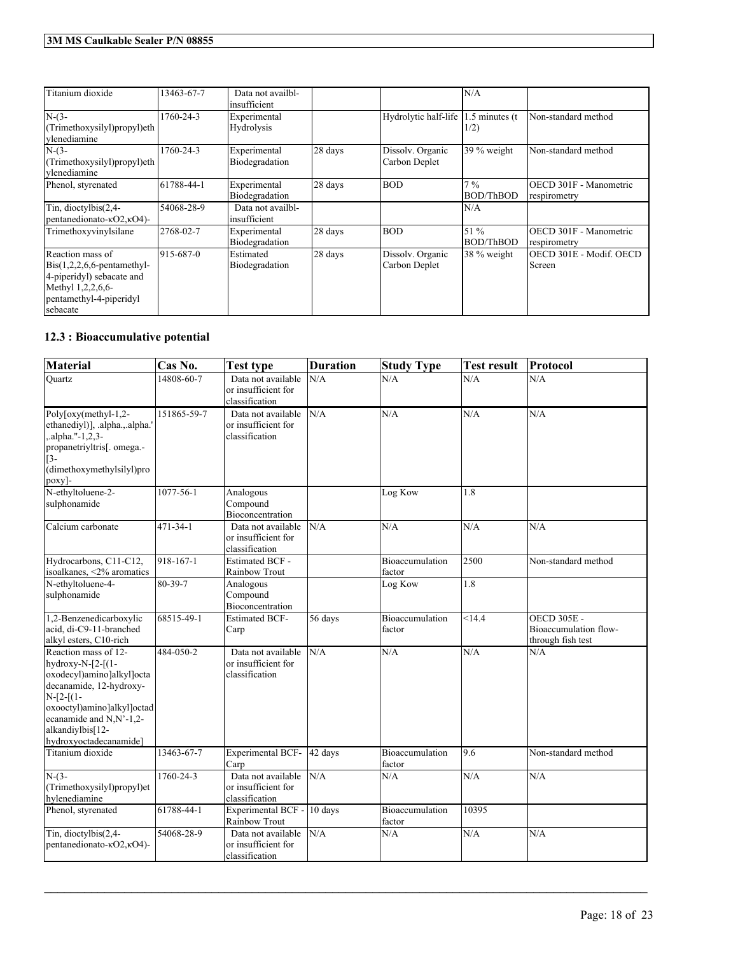| Titanium dioxide                                                                                                                                        | 13463-67-7 | Data not availbl-<br>insufficient |         |                                   | N/A                       |                                        |
|---------------------------------------------------------------------------------------------------------------------------------------------------------|------------|-----------------------------------|---------|-----------------------------------|---------------------------|----------------------------------------|
| $N-(3-$<br>(Trimethoxysilyl)propyl)eth<br>vlenediamine                                                                                                  | 1760-24-3  | Experimental<br>Hydrolysis        |         | Hydrolytic half-life              | $.5$ minutes (t<br>1/2)   | Non-standard method                    |
| $N-(3-$<br>(Trimethoxysilyl)propyl)eth<br>vlenediamine                                                                                                  | 1760-24-3  | Experimental<br>Biodegradation    | 28 days | Dissolv. Organic<br>Carbon Deplet | 39 % weight               | Non-standard method                    |
| Phenol, styrenated                                                                                                                                      | 61788-44-1 | Experimental<br>Biodegradation    | 28 days | <b>BOD</b>                        | $7\%$<br><b>BOD/ThBOD</b> | OECD 301F - Manometric<br>respirometry |
| Tin, dioctylbis(2,4-<br>pentanedionato- $\kappa$ O2, $\kappa$ O4)-                                                                                      | 54068-28-9 | Data not availbl-<br>insufficient |         |                                   | N/A                       |                                        |
| Trimethoxyvinylsilane                                                                                                                                   | 2768-02-7  | Experimental<br>Biodegradation    | 28 days | <b>BOD</b>                        | 51 %<br><b>BOD/ThBOD</b>  | OECD 301F - Manometric<br>respirometry |
| Reaction mass of<br>$\text{Bis}(1,2,2,6,6\text{-pentamethyl-}$<br>4-piperidyl) sebacate and<br>Methyl 1,2,2,6,6-<br>pentamethyl-4-piperidyl<br>sebacate | 915-687-0  | Estimated<br>Biodegradation       | 28 days | Dissolv. Organic<br>Carbon Deplet | 38 % weight               | OECD 301E - Modif. OECD<br>Screen      |

## **12.3 : Bioaccumulative potential**

| <b>Material</b>                                                                                                                                                                                                        | Cas No.         | Test type                                                   | <b>Duration</b> | <b>Study Type</b>         | <b>Test result</b> | Protocol                                                         |
|------------------------------------------------------------------------------------------------------------------------------------------------------------------------------------------------------------------------|-----------------|-------------------------------------------------------------|-----------------|---------------------------|--------------------|------------------------------------------------------------------|
| Ouartz                                                                                                                                                                                                                 | 14808-60-7      | Data not available<br>or insufficient for<br>classification | N/A             | N/A                       | N/A                | N/A                                                              |
| Poly $\lceil \text{oxy}(\text{methyl-1,2-}) \rceil$<br>ethanediyl)], .alpha.,.alpha.'<br>.alpha."-1,2,3-<br>propanetriyltris[. omega.-<br>$\lceil 3 -$<br>(dimethoxymethylsilyl)pro<br>poxy]-                          | 151865-59-7     | Data not available<br>or insufficient for<br>classification | N/A             | N/A                       | N/A                | N/A                                                              |
| N-ethyltoluene-2-<br>sulphonamide                                                                                                                                                                                      | $1077 - 56 - 1$ | Analogous<br>Compound<br>Bioconcentration                   |                 | Log Kow                   | $\overline{1.8}$   |                                                                  |
| Calcium carbonate                                                                                                                                                                                                      | $471 - 34 - 1$  | Data not available<br>or insufficient for<br>classification | N/A             | N/A                       | N/A                | N/A                                                              |
| Hydrocarbons, C11-C12,<br>isoalkanes, <2% aromatics                                                                                                                                                                    | 918-167-1       | <b>Estimated BCF -</b><br>Rainbow Trout                     |                 | Bioaccumulation<br>factor | 2500               | Non-standard method                                              |
| N-ethyltoluene-4-<br>sulphonamide                                                                                                                                                                                      | 80-39-7         | Analogous<br>Compound<br>Bioconcentration                   |                 | Log Kow                   | 1.8                |                                                                  |
| 1,2-Benzenedicarboxylic<br>acid, di-C9-11-branched<br>alkyl esters, C10-rich                                                                                                                                           | 68515-49-1      | <b>Estimated BCF-</b><br>Carp                               | 56 days         | Bioaccumulation<br>factor | $\overline{<}14.4$ | <b>OECD 305E -</b><br>Bioaccumulation flow-<br>through fish test |
| Reaction mass of 12-<br>hydroxy-N-[2-[(1-<br>oxodecyl)amino]alkyl]octa<br>decanamide, 12-hydroxy-<br>$N-[2-[1-$<br>oxooctyl)amino]alkyl]octad<br>ecanamide and N,N'-1,2-<br>alkandiylbis[12-<br>hydroxyoctadecanamide] | 484-050-2       | Data not available<br>or insufficient for<br>classification | N/A             | N/A                       | N/A                | N/A                                                              |
| Titanium dioxide                                                                                                                                                                                                       | 13463-67-7      | Experimental BCF-<br>Carp                                   | 42 days         | Bioaccumulation<br>factor | 9.6                | Non-standard method                                              |
| $N-(3-$<br>(Trimethoxysilyl)propyl)et<br>hylenediamine                                                                                                                                                                 | 1760-24-3       | Data not available<br>or insufficient for<br>classification | N/A             | N/A                       | N/A                | N/A                                                              |
| Phenol, styrenated                                                                                                                                                                                                     | 61788-44-1      | Experimental BCF - 10 days<br>Rainbow Trout                 |                 | Bioaccumulation<br>factor | 10395              |                                                                  |
| Tin, dioctylbis(2,4-<br>pentanedionato-KO2,KO4)-                                                                                                                                                                       | 54068-28-9      | Data not available<br>or insufficient for<br>classification | N/A             | N/A                       | N/A                | N/A                                                              |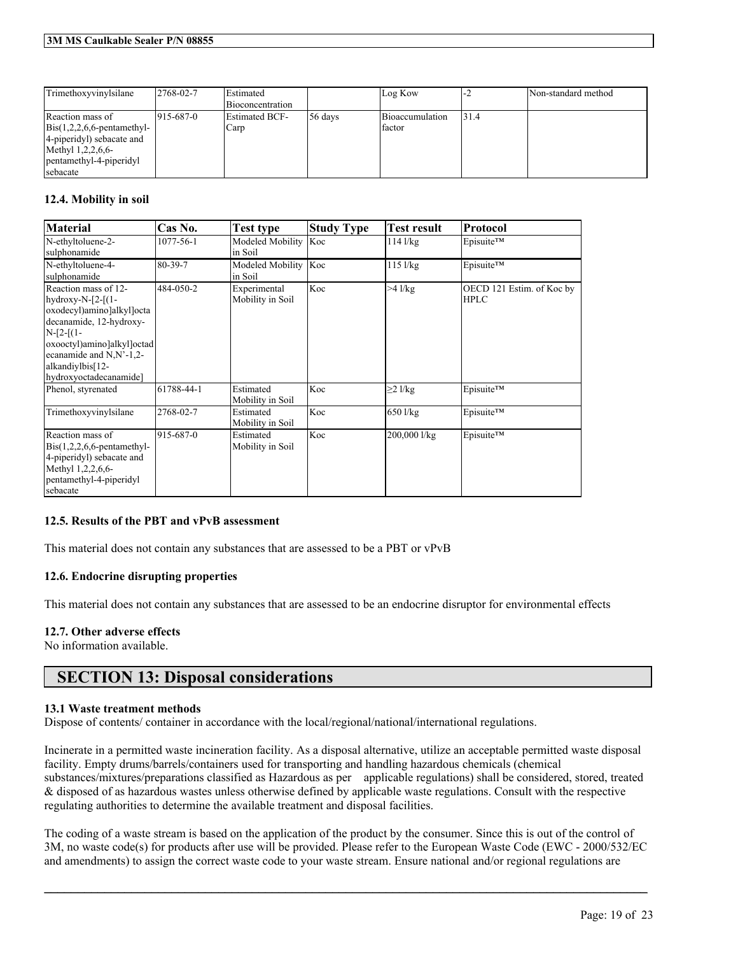| Trimethoxyvinylsilane                                                                                                                                      | $2768 - 02 - 7$  | Estimated<br>Bioconcentration |         | Log Kow                   | '−∠   | Non-standard method |
|------------------------------------------------------------------------------------------------------------------------------------------------------------|------------------|-------------------------------|---------|---------------------------|-------|---------------------|
| Reaction mass of<br>$\text{Bis}(1,2,2,6,6\text{-pentamethyl-}$<br>[4-piperidy] sebacate and<br>Methyl $1,2,2,6,6$ -<br>pentamethyl-4-piperidyl<br>sebacate | $1915 - 687 - 0$ | <b>Estimated BCF-</b><br>Carp | 56 days | Bioaccumulation<br>factor | 131.4 |                     |

### **12.4. Mobility in soil**

| <b>Material</b>                                                                                                                                                                                                                 | Cas No.         | Test type                        | <b>Study Type</b> | Test result     | <b>Protocol</b>                          |
|---------------------------------------------------------------------------------------------------------------------------------------------------------------------------------------------------------------------------------|-----------------|----------------------------------|-------------------|-----------------|------------------------------------------|
| N-ethyltoluene-2-<br>sulphonamide                                                                                                                                                                                               | $1077 - 56 - 1$ | Modeled Mobility<br>in Soil      | Koc               | $114$ $1/kg$    | Episuite™                                |
| N-ethyltoluene-4-<br>sulphonamide                                                                                                                                                                                               | 80-39-7         | Modeled Mobility<br>in Soil      | Koc               | $115$ $1/kg$    | Episuite™                                |
| Reaction mass of 12-<br>hydroxy-N- $[2-[1-$<br>oxodecyl)amino]alkyl]octa<br>decanamide, 12-hydroxy-<br>$N-[2-[1-$<br>oxooctyl)amino]alkyl]octad<br>ecanamide and $N$ , $N'$ -1,2-<br>alkandiylbis[12-<br>hydroxyoctadecanamide] | 484-050-2       | Experimental<br>Mobility in Soil | Koc               | $>4$ $1$ / $kg$ | OECD 121 Estim. of Koc by<br><b>HPLC</b> |
| Phenol, styrenated                                                                                                                                                                                                              | 61788-44-1      | Estimated<br>Mobility in Soil    | Koc               | $\geq$ 2 l/kg   | Episuite™                                |
| Trimethoxyvinylsilane                                                                                                                                                                                                           | 2768-02-7       | Estimated<br>Mobility in Soil    | Koc               | 650 l/kg        | Episuite™                                |
| Reaction mass of<br>$\text{Bis}(1,2,2,6,6\text{-pentamethyl-}$<br>4-piperidyl) sebacate and<br>Methyl 1,2,2,6,6-<br>pentamethyl-4-piperidyl<br>sebacate                                                                         | 915-687-0       | Estimated<br>Mobility in Soil    | Koc               | 200,000 l/kg    | Episuite™                                |

### **12.5. Results of the PBT and vPvB assessment**

This material does not contain any substances that are assessed to be a PBT or vPvB

### **12.6. Endocrine disrupting properties**

This material does not contain any substances that are assessed to be an endocrine disruptor for environmental effects

### **12.7. Other adverse effects**

No information available.

## **SECTION 13: Disposal considerations**

### **13.1 Waste treatment methods**

Dispose of contents/ container in accordance with the local/regional/national/international regulations.

Incinerate in a permitted waste incineration facility. As a disposal alternative, utilize an acceptable permitted waste disposal facility. Empty drums/barrels/containers used for transporting and handling hazardous chemicals (chemical substances/mixtures/preparations classified as Hazardous as per applicable regulations) shall be considered, stored, treated & disposed of as hazardous wastes unless otherwise defined by applicable waste regulations. Consult with the respective regulating authorities to determine the available treatment and disposal facilities.

The coding of a waste stream is based on the application of the product by the consumer. Since this is out of the control of 3M, no waste code(s) for products after use will be provided. Please refer to the European Waste Code (EWC - 2000/532/EC and amendments) to assign the correct waste code to your waste stream. Ensure national and/or regional regulations are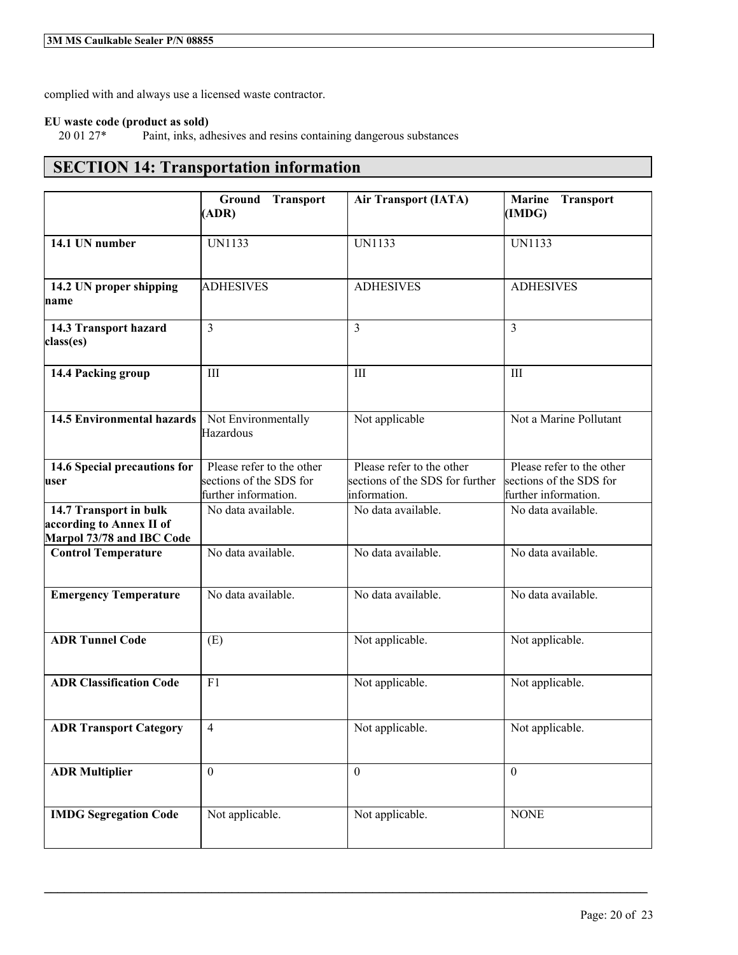complied with and always use a licensed waste contractor.

# **EU waste code (product as sold)**

Paint, inks, adhesives and resins containing dangerous substances

## **SECTION 14: Transportation information**

|                                                                                 | Ground Transport<br>(ADR)                                                    | <b>Air Transport (IATA)</b>                                                  | <b>Transport</b><br><b>Marine</b><br>(IMDG)                                  |
|---------------------------------------------------------------------------------|------------------------------------------------------------------------------|------------------------------------------------------------------------------|------------------------------------------------------------------------------|
| 14.1 UN number                                                                  | <b>UN1133</b>                                                                | <b>UN1133</b>                                                                | <b>UN1133</b>                                                                |
| 14.2 UN proper shipping<br>name                                                 | <b>ADHESIVES</b>                                                             | <b>ADHESIVES</b>                                                             | <b>ADHESIVES</b>                                                             |
| 14.3 Transport hazard<br>class(es)                                              | $\overline{3}$                                                               | 3                                                                            | 3                                                                            |
| 14.4 Packing group                                                              | III                                                                          | III                                                                          | III                                                                          |
| <b>14.5 Environmental hazards</b>                                               | Not Environmentally<br>Hazardous                                             | Not applicable                                                               | Not a Marine Pollutant                                                       |
| 14.6 Special precautions for<br>user                                            | Please refer to the other<br>sections of the SDS for<br>further information. | Please refer to the other<br>sections of the SDS for further<br>information. | Please refer to the other<br>sections of the SDS for<br>further information. |
| 14.7 Transport in bulk<br>according to Annex II of<br>Marpol 73/78 and IBC Code | No data available.                                                           | No data available.                                                           | No data available.                                                           |
| <b>Control Temperature</b>                                                      | No data available.                                                           | No data available.                                                           | No data available.                                                           |
| <b>Emergency Temperature</b>                                                    | No data available.                                                           | No data available.                                                           | No data available.                                                           |
| <b>ADR Tunnel Code</b>                                                          | (E)                                                                          | Not applicable.                                                              | Not applicable.                                                              |
| <b>ADR Classification Code</b>                                                  | F1                                                                           | Not applicable.                                                              | Not applicable.                                                              |
| <b>ADR Transport Category</b>                                                   | $\overline{4}$                                                               | Not applicable.                                                              | Not applicable.                                                              |
| <b>ADR Multiplier</b>                                                           | $\mathbf{0}$                                                                 | $\mathbf{0}$                                                                 | $\theta$                                                                     |
| <b>IMDG Segregation Code</b>                                                    | Not applicable.                                                              | Not applicable.                                                              | <b>NONE</b>                                                                  |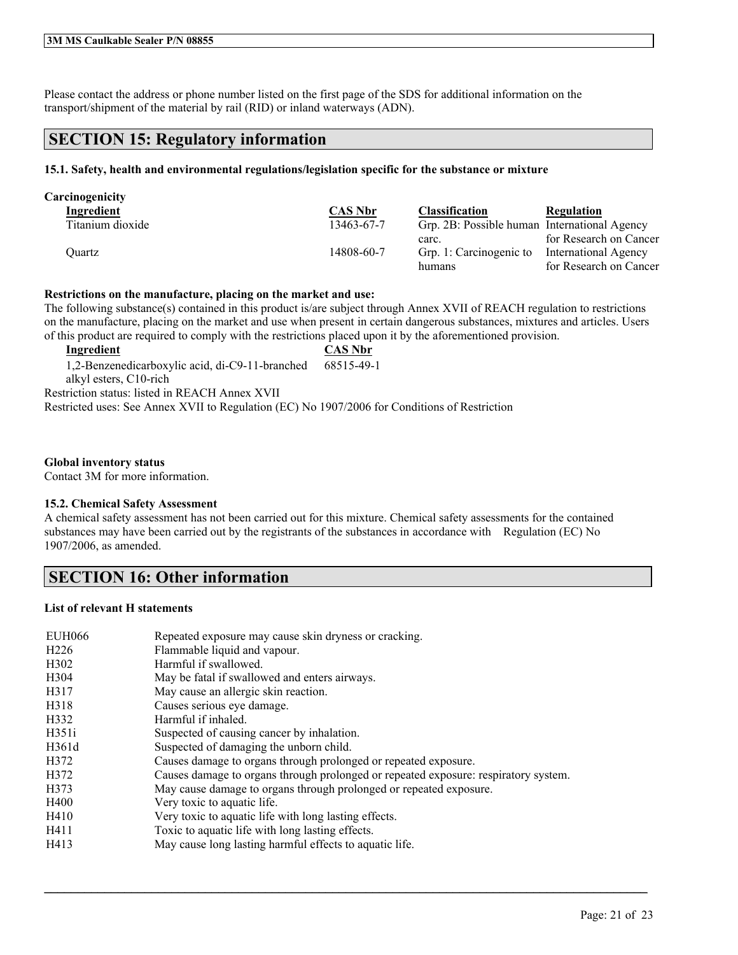Please contact the address or phone number listed on the first page of the SDS for additional information on the transport/shipment of the material by rail (RID) or inland waterways (ADN).

## **SECTION 15: Regulatory information**

### **15.1. Safety, health and environmental regulations/legislation specific for the substance or mixture**

| Carcinogenicity  |                |                                              |                        |
|------------------|----------------|----------------------------------------------|------------------------|
| Ingredient       | <b>CAS Nbr</b> | <b>Classification</b>                        | Regulation             |
| Titanium dioxide | 13463-67-7     | Grp. 2B: Possible human International Agency |                        |
|                  |                | carc.                                        | for Research on Cancer |
| Ouartz           | 14808-60-7     | Grp. 1: Carcinogenic to                      | International Agency   |
|                  |                | humans                                       | for Research on Cancer |

### **Restrictions on the manufacture, placing on the market and use:**

The following substance(s) contained in this product is/are subject through Annex XVII of REACH regulation to restrictions on the manufacture, placing on the market and use when present in certain dangerous substances, mixtures and articles. Users of this product are required to comply with the restrictions placed upon it by the aforementioned provision.

**Ingredient CAS Nbr** 1,2-Benzenedicarboxylic acid, di-C9-11-branched alkyl esters, C10-rich 68515-49-1 Restriction status: listed in REACH Annex XVII Restricted uses: See Annex XVII to Regulation (EC) No 1907/2006 for Conditions of Restriction

### **Global inventory status**

Contact 3M for more information.

### **15.2. Chemical Safety Assessment**

A chemical safety assessment has not been carried out for this mixture. Chemical safety assessments for the contained substances may have been carried out by the registrants of the substances in accordance with Regulation (EC) No 1907/2006, as amended.

## **SECTION 16: Other information**

### **List of relevant H statements**

| <b>EUH066</b>     | Repeated exposure may cause skin dryness or cracking.                               |
|-------------------|-------------------------------------------------------------------------------------|
| H <sub>226</sub>  | Flammable liquid and vapour.                                                        |
| H <sub>3</sub> 02 | Harmful if swallowed.                                                               |
| H <sub>304</sub>  | May be fatal if swallowed and enters airways.                                       |
| H317              | May cause an allergic skin reaction.                                                |
| H318              | Causes serious eye damage.                                                          |
| H332              | Harmful if inhaled.                                                                 |
| H351i             | Suspected of causing cancer by inhalation.                                          |
| H361d             | Suspected of damaging the unborn child.                                             |
| H372              | Causes damage to organs through prolonged or repeated exposure.                     |
| H372              | Causes damage to organs through prolonged or repeated exposure: respiratory system. |
| H373              | May cause damage to organs through prolonged or repeated exposure.                  |
| H400              | Very toxic to aquatic life.                                                         |
| H410              | Very toxic to aquatic life with long lasting effects.                               |
| H411              | Toxic to aquatic life with long lasting effects.                                    |
| H413              | May cause long lasting harmful effects to aquatic life.                             |
|                   |                                                                                     |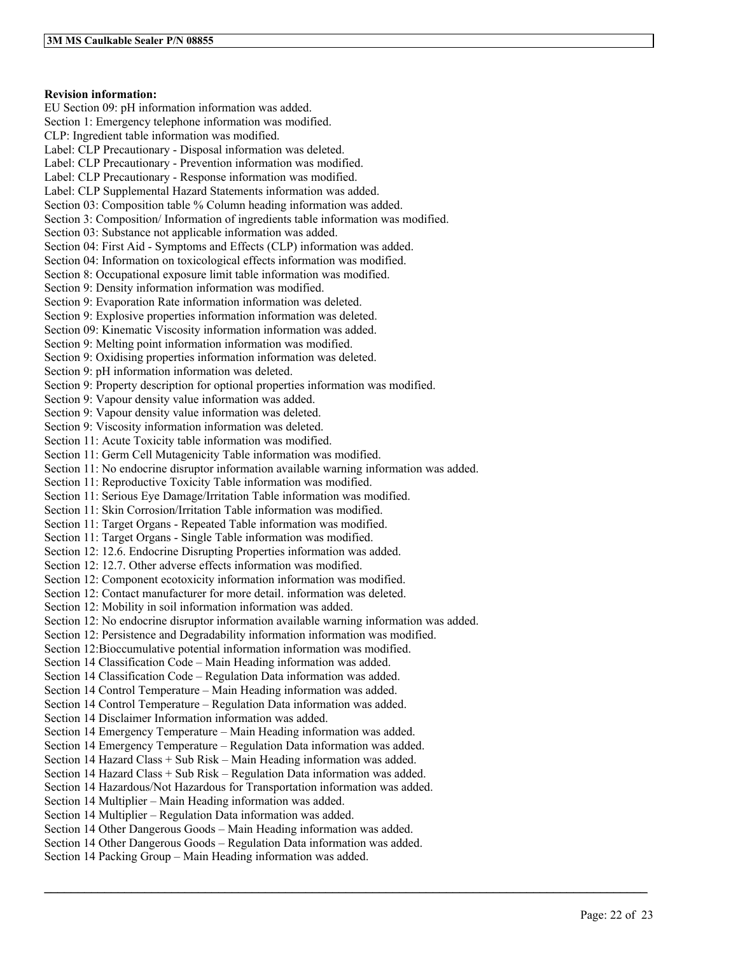### **Revision information:**

EU Section 09: pH information information was added. Section 1: Emergency telephone information was modified. CLP: Ingredient table information was modified. Label: CLP Precautionary - Disposal information was deleted. Label: CLP Precautionary - Prevention information was modified. Label: CLP Precautionary - Response information was modified. Label: CLP Supplemental Hazard Statements information was added. Section 03: Composition table % Column heading information was added. Section 3: Composition/ Information of ingredients table information was modified. Section 03: Substance not applicable information was added. Section 04: First Aid - Symptoms and Effects (CLP) information was added. Section 04: Information on toxicological effects information was modified. Section 8: Occupational exposure limit table information was modified. Section 9: Density information information was modified. Section 9: Evaporation Rate information information was deleted. Section 9: Explosive properties information information was deleted. Section 09: Kinematic Viscosity information information was added. Section 9: Melting point information information was modified. Section 9: Oxidising properties information information was deleted. Section 9: pH information information was deleted. Section 9: Property description for optional properties information was modified. Section 9: Vapour density value information was added. Section 9: Vapour density value information was deleted. Section 9: Viscosity information information was deleted. Section 11: Acute Toxicity table information was modified. Section 11: Germ Cell Mutagenicity Table information was modified. Section 11: No endocrine disruptor information available warning information was added. Section 11: Reproductive Toxicity Table information was modified. Section 11: Serious Eye Damage/Irritation Table information was modified. Section 11: Skin Corrosion/Irritation Table information was modified. Section 11: Target Organs - Repeated Table information was modified. Section 11: Target Organs - Single Table information was modified. Section 12: 12.6. Endocrine Disrupting Properties information was added. Section 12: 12.7. Other adverse effects information was modified. Section 12: Component ecotoxicity information information was modified. Section 12: Contact manufacturer for more detail. information was deleted. Section 12: Mobility in soil information information was added. Section 12: No endocrine disruptor information available warning information was added. Section 12: Persistence and Degradability information information was modified. Section 12:Bioccumulative potential information information was modified. Section 14 Classification Code – Main Heading information was added. Section 14 Classification Code – Regulation Data information was added. Section 14 Control Temperature – Main Heading information was added. Section 14 Control Temperature – Regulation Data information was added. Section 14 Disclaimer Information information was added. Section 14 Emergency Temperature – Main Heading information was added. Section 14 Emergency Temperature – Regulation Data information was added. Section 14 Hazard Class + Sub Risk – Main Heading information was added. Section 14 Hazard Class + Sub Risk – Regulation Data information was added. Section 14 Hazardous/Not Hazardous for Transportation information was added. Section 14 Multiplier – Main Heading information was added. Section 14 Multiplier – Regulation Data information was added. Section 14 Other Dangerous Goods – Main Heading information was added. Section 14 Other Dangerous Goods – Regulation Data information was added. Section 14 Packing Group – Main Heading information was added.